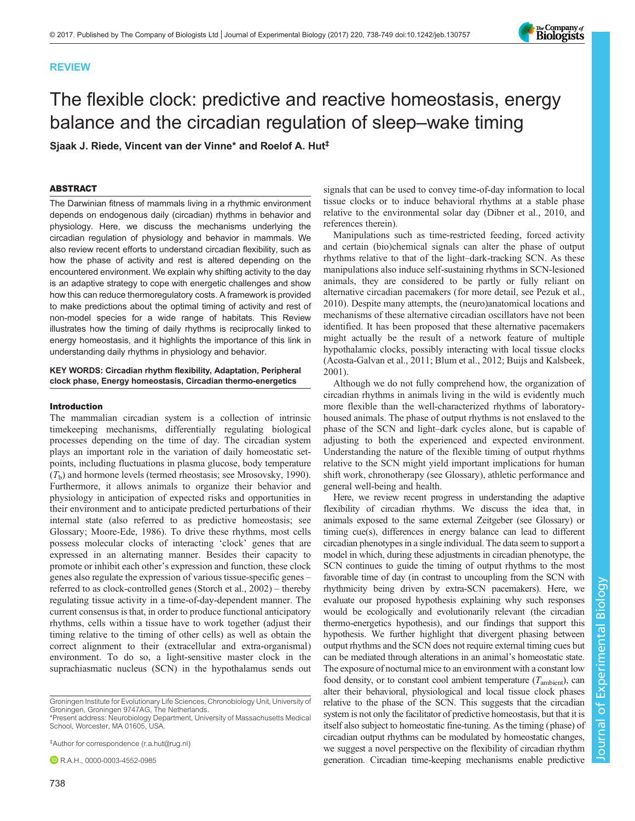# REVIEW

# The flexible clock: predictive and reactive homeostasis, energy balance and the circadian regulation of sleep–wake timing

Sjaak J. Riede, Vincent van der Vinne\* and Roelof A. Hut‡

# ABSTRACT

The Darwinian fitness of mammals living in a rhythmic environment depends on endogenous daily (circadian) rhythms in behavior and physiology. Here, we discuss the mechanisms underlying the circadian regulation of physiology and behavior in mammals. We also review recent efforts to understand circadian flexibility, such as how the phase of activity and rest is altered depending on the encountered environment. We explain why shifting activity to the day is an adaptive strategy to cope with energetic challenges and show how this can reduce thermoregulatory costs. A framework is provided to make predictions about the optimal timing of activity and rest of non-model species for a wide range of habitats. This Review illustrates how the timing of daily rhythms is reciprocally linked to energy homeostasis, and it highlights the importance of this link in understanding daily rhythms in physiology and behavior.

#### KEY WORDS: Circadian rhythm flexibility, Adaptation, Peripheral clock phase, Energy homeostasis, Circadian thermo-energetics

#### Introduction

The mammalian circadian system is a collection of intrinsic timekeeping mechanisms, differentially regulating biological processes depending on the time of day. The circadian system plays an important role in the variation of daily homeostatic setpoints, including fluctuations in plasma glucose, body temperature  $(T<sub>b</sub>)$  and hormone levels (termed rheostasis; see [Mrosovsky, 1990\)](#page-11-0). Furthermore, it allows animals to organize their behavior and physiology in anticipation of expected risks and opportunities in their environment and to anticipate predicted perturbations of their internal state (also referred to as predictive homeostasis; see Glossary; [Moore-Ede, 1986](#page-10-0)). To drive these rhythms, most cells possess molecular clocks of interacting 'clock' genes that are expressed in an alternating manner. Besides their capacity to promote or inhibit each other's expression and function, these clock genes also regulate the expression of various tissue-specific genes – referred to as clock-controlled genes [\(Storch et al., 2002](#page-11-0)) – thereby regulating tissue activity in a time-of-day-dependent manner. The current consensus is that, in order to produce functional anticipatory rhythms, cells within a tissue have to work together (adjust their timing relative to the timing of other cells) as well as obtain the correct alignment to their (extracellular and extra-organismal) environment. To do so, a light-sensitive master clock in the suprachiasmatic nucleus (SCN) in the hypothalamus sends out

‡Author for correspondence ([r.a.hut@rug.nl](mailto:r.a.hut@rug.nl))

**R.A.H., [0000-0003-4552-0985](http://orcid.org/0000-0003-4552-0985)** 

signals that can be used to convey time-of-day information to local tissue clocks or to induce behavioral rhythms at a stable phase relative to the environmental solar day ([Dibner et al., 2010](#page-10-0), and references therein).

Manipulations such as time-restricted feeding, forced activity and certain (bio)chemical signals can alter the phase of output rhythms relative to that of the light–dark-tracking SCN. As these manipulations also induce self-sustaining rhythms in SCN-lesioned animals, they are considered to be partly or fully reliant on alternative circadian pacemakers (for more detail, see [Pezuk et al.,](#page-11-0) [2010\)](#page-11-0). Despite many attempts, the (neuro)anatomical locations and mechanisms of these alternative circadian oscillators have not been identified. It has been proposed that these alternative pacemakers might actually be the result of a network feature of multiple hypothalamic clocks, possibly interacting with local tissue clocks [\(Acosta-Galvan et al., 2011; Blum et al., 2012](#page-9-0); [Buijs and Kalsbeek,](#page-9-0) [2001\)](#page-9-0).

Although we do not fully comprehend how, the organization of circadian rhythms in animals living in the wild is evidently much more flexible than the well-characterized rhythms of laboratoryhoused animals. The phase of output rhythms is not enslaved to the phase of the SCN and light–dark cycles alone, but is capable of adjusting to both the experienced and expected environment. Understanding the nature of the flexible timing of output rhythms relative to the SCN might yield important implications for human shift work, chronotherapy (see Glossary), athletic performance and general well-being and health.

Here, we review recent progress in understanding the adaptive flexibility of circadian rhythms. We discuss the idea that, in animals exposed to the same external Zeitgeber (see Glossary) or timing cue(s), differences in energy balance can lead to different circadian phenotypes in a single individual. The data seem to support a model in which, during these adjustments in circadian phenotype, the SCN continues to guide the timing of output rhythms to the most favorable time of day (in contrast to uncoupling from the SCN with rhythmicity being driven by extra-SCN pacemakers). Here, we evaluate our proposed hypothesis explaining why such responses would be ecologically and evolutionarily relevant (the circadian thermo-energetics hypothesis), and our findings that support this hypothesis. We further highlight that divergent phasing between output rhythms and the SCN does not require external timing cues but can be mediated through alterations in an animal's homeostatic state. The exposure of nocturnal mice to an environment with a constant low food density, or to constant cool ambient temperature  $(T_{\text{ambient}})$ , can alter their behavioral, physiological and local tissue clock phases relative to the phase of the SCN. This suggests that the circadian system is not only the facilitator of predictive homeostasis, but that it is itself also subject to homeostatic fine-tuning. As the timing (phase) of circadian output rhythms can be modulated by homeostatic changes, we suggest a novel perspective on the flexibility of circadian rhythm generation. Circadian time-keeping mechanisms enable predictive



Groningen Institute for Evolutionary Life Sciences, Chronobiology Unit, University of Groningen, Groningen 9747AG, The Netherlands.

<sup>\*</sup>Present address: Neurobiology Department, University of Massachusetts Medical School, Worcester, MA 01605, USA.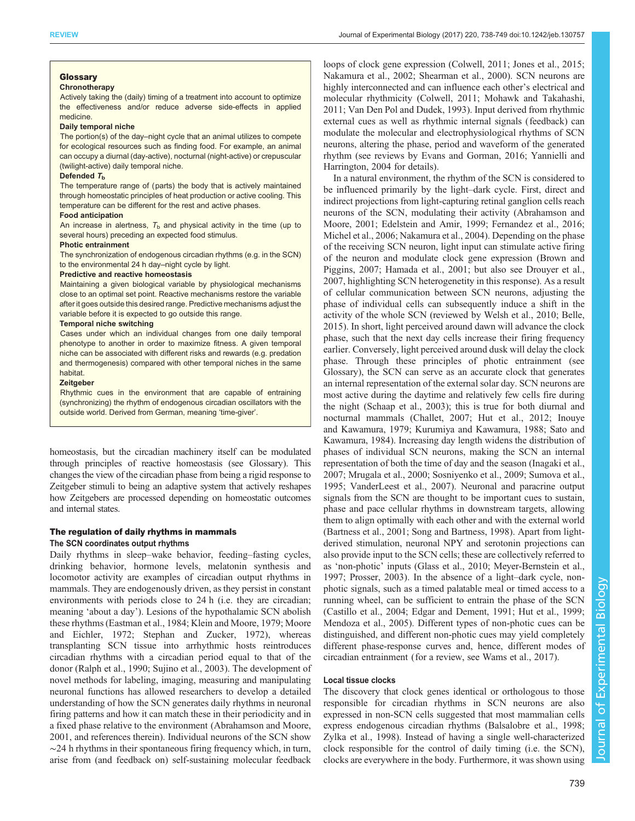## Glossary

# **Chronotherapy**

Actively taking the (daily) timing of a treatment into account to optimize the effectiveness and/or reduce adverse side-effects in applied medicine.

#### Daily temporal niche

The portion(s) of the day–night cycle that an animal utilizes to compete for ecological resources such as finding food. For example, an animal can occupy a diurnal (day-active), nocturnal (night-active) or crepuscular (twilight-active) daily temporal niche.

#### Defended  $T<sub>b</sub>$

The temperature range of (parts) the body that is actively maintained through homeostatic principles of heat production or active cooling. This temperature can be different for the rest and active phases.

#### Food anticipation

An increase in alertness,  $T<sub>b</sub>$  and physical activity in the time (up to several hours) preceding an expected food stimulus.

#### Photic entrainment

The synchronization of endogenous circadian rhythms (e.g. in the SCN) to the environmental 24 h day–night cycle by light.

#### Predictive and reactive homeostasis

Maintaining a given biological variable by physiological mechanisms close to an optimal set point. Reactive mechanisms restore the variable after it goes outside this desired range. Predictive mechanisms adjust the variable before it is expected to go outside this range.

#### Temporal niche switching

Cases under which an individual changes from one daily temporal phenotype to another in order to maximize fitness. A given temporal niche can be associated with different risks and rewards (e.g. predation and thermogenesis) compared with other temporal niches in the same habitat.

#### **Zeitgeber**

Rhythmic cues in the environment that are capable of entraining (synchronizing) the rhythm of endogenous circadian oscillators with the outside world. Derived from German, meaning 'time-giver'.

homeostasis, but the circadian machinery itself can be modulated through principles of reactive homeostasis (see Glossary). This changes the view of the circadian phase from being a rigid response to Zeitgeber stimuli to being an adaptive system that actively reshapes how Zeitgebers are processed depending on homeostatic outcomes and internal states.

# The regulation of daily rhythms in mammals

# The SCN coordinates output rhythms

Daily rhythms in sleep–wake behavior, feeding–fasting cycles, drinking behavior, hormone levels, melatonin synthesis and locomotor activity are examples of circadian output rhythms in mammals. They are endogenously driven, as they persist in constant environments with periods close to 24 h (i.e. they are circadian; meaning 'about a day'). Lesions of the hypothalamic SCN abolish these rhythms ([Eastman et al., 1984; Klein and Moore, 1979; Moore](#page-10-0) [and Eichler, 1972](#page-10-0); [Stephan and Zucker, 1972](#page-11-0)), whereas transplanting SCN tissue into arrhythmic hosts reintroduces circadian rhythms with a circadian period equal to that of the donor ([Ralph et al., 1990](#page-11-0); [Sujino et al., 2003](#page-11-0)). The development of novel methods for labeling, imaging, measuring and manipulating neuronal functions has allowed researchers to develop a detailed understanding of how the SCN generates daily rhythms in neuronal firing patterns and how it can match these in their periodicity and in a fixed phase relative to the environment [\(Abrahamson and Moore,](#page-9-0) [2001](#page-9-0), and references therein). Individual neurons of the SCN show ∼24 h rhythms in their spontaneous firing frequency which, in turn, arise from (and feedback on) self-sustaining molecular feedback

loops of clock gene expression ([Colwell, 2011](#page-10-0); [Jones et al., 2015](#page-10-0); [Nakamura et al., 2002](#page-11-0); [Shearman et al., 2000](#page-11-0)). SCN neurons are highly interconnected and can influence each other's electrical and molecular rhythmicity [\(Colwell, 2011](#page-10-0); [Mohawk and Takahashi,](#page-10-0) [2011;](#page-10-0) [Van Den Pol and Dudek, 1993](#page-11-0)). Input derived from rhythmic external cues as well as rhythmic internal signals (feedback) can modulate the molecular and electrophysiological rhythms of SCN neurons, altering the phase, period and waveform of the generated rhythm (see reviews by [Evans and Gorman, 2016;](#page-10-0) [Yannielli and](#page-11-0) [Harrington, 2004](#page-11-0) for details).

In a natural environment, the rhythm of the SCN is considered to be influenced primarily by the light–dark cycle. First, direct and indirect projections from light-capturing retinal ganglion cells reach neurons of the SCN, modulating their activity ([Abrahamson and](#page-9-0) [Moore, 2001;](#page-9-0) [Edelstein and Amir, 1999](#page-10-0); [Fernandez et al., 2016](#page-10-0); [Michel et al., 2006](#page-10-0); [Nakamura et al., 2004](#page-11-0)). Depending on the phase of the receiving SCN neuron, light input can stimulate active firing of the neuron and modulate clock gene expression ([Brown and](#page-9-0) [Piggins, 2007](#page-9-0); [Hamada et al., 2001](#page-10-0); but also see [Drouyer et al.,](#page-10-0) [2007,](#page-10-0) highlighting SCN heterogenetity in this response). As a result of cellular communication between SCN neurons, adjusting the phase of individual cells can subsequently induce a shift in the activity of the whole SCN (reviewed by [Welsh et al., 2010](#page-11-0); [Belle,](#page-9-0) [2015\)](#page-9-0). In short, light perceived around dawn will advance the clock phase, such that the next day cells increase their firing frequency earlier. Conversely, light perceived around dusk will delay the clock phase. Through these principles of photic entrainment (see Glossary), the SCN can serve as an accurate clock that generates an internal representation of the external solar day. SCN neurons are most active during the daytime and relatively few cells fire during the night ([Schaap et al., 2003\)](#page-11-0); this is true for both diurnal and nocturnal mammals ([Challet, 2007; Hut et al., 2012; Inouye](#page-10-0) [and Kawamura, 1979; Kurumiya and Kawamura, 1988](#page-10-0); [Sato and](#page-11-0) [Kawamura, 1984\)](#page-11-0). Increasing day length widens the distribution of phases of individual SCN neurons, making the SCN an internal representation of both the time of day and the season [\(Inagaki et al.,](#page-10-0) [2007;](#page-10-0) [Mrugala et al., 2000](#page-11-0); [Sosniyenko et al., 2009](#page-11-0); [Sumova et al.,](#page-11-0) [1995; VanderLeest et al., 2007\)](#page-11-0). Neuronal and paracrine output signals from the SCN are thought to be important cues to sustain, phase and pace cellular rhythms in downstream targets, allowing them to align optimally with each other and with the external world [\(Bartness et al., 2001](#page-9-0); [Song and Bartness, 1998](#page-11-0)). Apart from lightderived stimulation, neuronal NPY and serotonin projections can also provide input to the SCN cells; these are collectively referred to as 'non-photic' inputs ([Glass et al., 2010](#page-10-0); [Meyer-Bernstein et al.,](#page-10-0) [1997;](#page-10-0) [Prosser, 2003\)](#page-11-0). In the absence of a light–dark cycle, nonphotic signals, such as a timed palatable meal or timed access to a running wheel, can be sufficient to entrain the phase of the SCN [\(Castillo et al., 2004](#page-10-0); [Edgar and Dement, 1991](#page-10-0); [Hut et al., 1999](#page-10-0); [Mendoza et al., 2005](#page-10-0)). Different types of non-photic cues can be distinguished, and different non-photic cues may yield completely different phase-response curves and, hence, different modes of circadian entrainment (for a review, see [Wams et al., 2017](#page-11-0)).

#### Local tissue clocks

The discovery that clock genes identical or orthologous to those responsible for circadian rhythms in SCN neurons are also expressed in non-SCN cells suggested that most mammalian cells express endogenous circadian rhythms ([Balsalobre et al., 1998](#page-9-0); [Zylka et al., 1998\)](#page-11-0). Instead of having a single well-characterized clock responsible for the control of daily timing (i.e. the SCN), clocks are everywhere in the body. Furthermore, it was shown using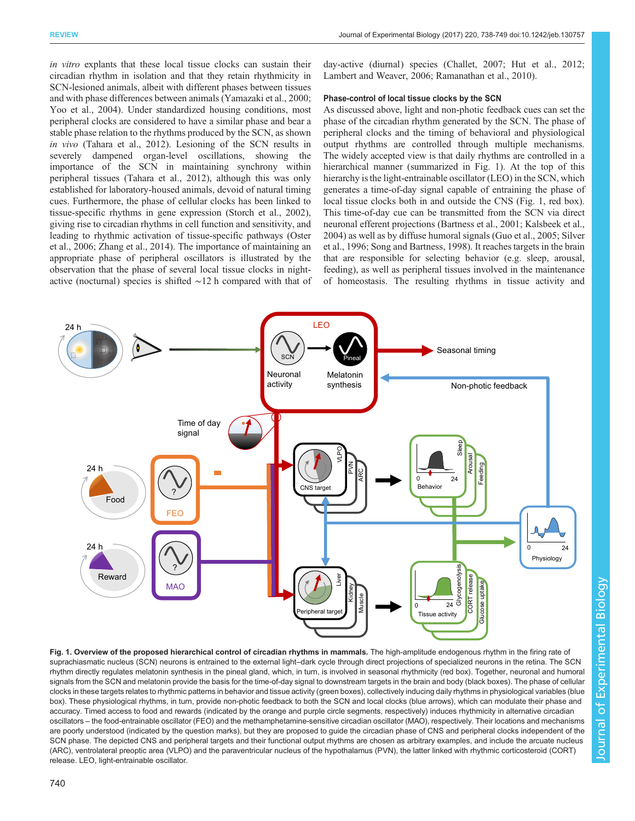<span id="page-2-0"></span>in vitro explants that these local tissue clocks can sustain their circadian rhythm in isolation and that they retain rhythmicity in SCN-lesioned animals, albeit with different phases between tissues and with phase differences between animals [\(Yamazaki et al., 2000](#page-11-0); [Yoo et al., 2004](#page-11-0)). Under standardized housing conditions, most peripheral clocks are considered to have a similar phase and bear a stable phase relation to the rhythms produced by the SCN, as shown in vivo [\(Tahara et al., 2012\)](#page-11-0). Lesioning of the SCN results in severely dampened organ-level oscillations, showing the importance of the SCN in maintaining synchrony within peripheral tissues ([Tahara et al., 2012\)](#page-11-0), although this was only established for laboratory-housed animals, devoid of natural timing cues. Furthermore, the phase of cellular clocks has been linked to tissue-specific rhythms in gene expression ([Storch et al., 2002\)](#page-11-0), giving rise to circadian rhythms in cell function and sensitivity, and leading to rhythmic activation of tissue-specific pathways ([Oster](#page-11-0) [et al., 2006](#page-11-0); [Zhang et al., 2014\)](#page-11-0). The importance of maintaining an appropriate phase of peripheral oscillators is illustrated by the observation that the phase of several local tissue clocks in nightactive (nocturnal) species is shifted ∼12 h compared with that of day-active (diurnal) species ([Challet, 2007](#page-10-0); [Hut et al., 2012](#page-10-0); [Lambert and Weaver, 2006](#page-10-0); [Ramanathan et al., 2010\)](#page-11-0).

## Phase-control of local tissue clocks by the SCN

As discussed above, light and non-photic feedback cues can set the phase of the circadian rhythm generated by the SCN. The phase of peripheral clocks and the timing of behavioral and physiological output rhythms are controlled through multiple mechanisms. The widely accepted view is that daily rhythms are controlled in a hierarchical manner (summarized in Fig. 1). At the top of this hierarchy is the light-entrainable oscillator (LEO) in the SCN, which generates a time-of-day signal capable of entraining the phase of local tissue clocks both in and outside the CNS (Fig. 1, red box). This time-of-day cue can be transmitted from the SCN via direct neuronal efferent projections [\(Bartness et al., 2001;](#page-9-0) [Kalsbeek et al.,](#page-10-0) [2004\)](#page-10-0) as well as by diffuse humoral signals ([Guo et al., 2005](#page-10-0); [Silver](#page-11-0) [et al., 1996](#page-11-0); [Song and Bartness, 1998\)](#page-11-0). It reaches targets in the brain that are responsible for selecting behavior (e.g. sleep, arousal, feeding), as well as peripheral tissues involved in the maintenance of homeostasis. The resulting rhythms in tissue activity and



Fig. 1. Overview of the proposed hierarchical control of circadian rhythms in mammals. The high-amplitude endogenous rhythm in the firing rate of suprachiasmatic nucleus (SCN) neurons is entrained to the external light–dark cycle through direct projections of specialized neurons in the retina. The SCN rhythm directly regulates melatonin synthesis in the pineal gland, which, in turn, is involved in seasonal rhythmicity (red box). Together, neuronal and humoral signals from the SCN and melatonin provide the basis for the time-of-day signal to downstream targets in the brain and body (black boxes). The phase of cellular clocks in these targets relates to rhythmic patterns in behavior and tissue activity (green boxes), collectively inducing daily rhythms in physiological variables (blue box). These physiological rhythms, in turn, provide non-photic feedback to both the SCN and local clocks (blue arrows), which can modulate their phase and accuracy. Timed access to food and rewards (indicated by the orange and purple circle segments, respectively) induces rhythmicity in alternative circadian oscillators – the food-entrainable oscillator (FEO) and the methamphetamine-sensitive circadian oscillator (MAO), respectively. Their locations and mechanisms are poorly understood (indicated by the question marks), but they are proposed to guide the circadian phase of CNS and peripheral clocks independent of the SCN phase. The depicted CNS and peripheral targets and their functional output rhythms are chosen as arbitrary examples, and include the arcuate nucleus (ARC), ventrolateral preoptic area (VLPO) and the paraventricular nucleus of the hypothalamus (PVN), the latter linked with rhythmic corticosteroid (CORT) release. LEO, light-entrainable oscillator.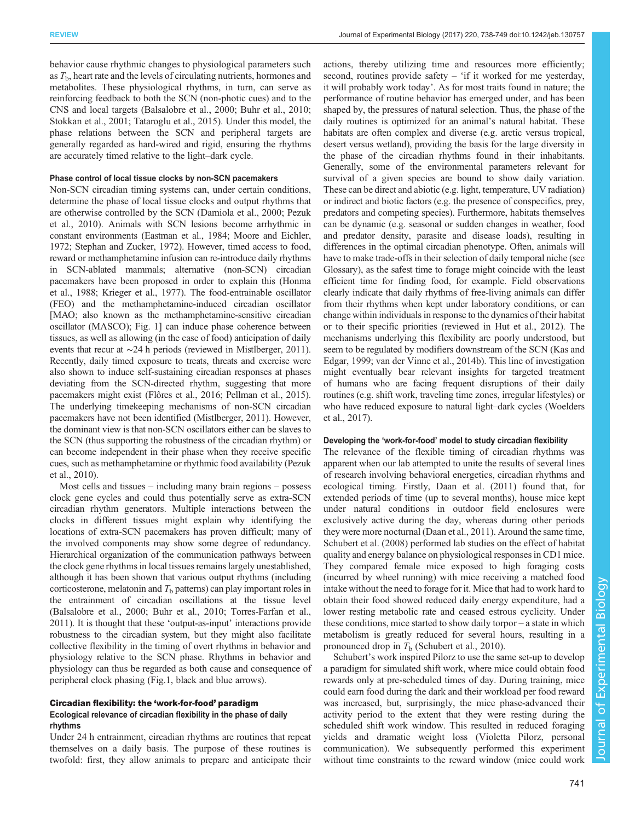behavior cause rhythmic changes to physiological parameters such as  $T<sub>b</sub>$ , heart rate and the levels of circulating nutrients, hormones and metabolites. These physiological rhythms, in turn, can serve as reinforcing feedback to both the SCN (non-photic cues) and to the CNS and local targets [\(Balsalobre et al., 2000](#page-9-0); [Buhr et al., 2010](#page-9-0); [Stokkan et al., 2001; Tataroglu et al., 2015\)](#page-11-0). Under this model, the phase relations between the SCN and peripheral targets are generally regarded as hard-wired and rigid, ensuring the rhythms are accurately timed relative to the light–dark cycle.

#### Phase control of local tissue clocks by non-SCN pacemakers

Non-SCN circadian timing systems can, under certain conditions, determine the phase of local tissue clocks and output rhythms that are otherwise controlled by the SCN [\(Damiola et al., 2000;](#page-10-0) [Pezuk](#page-11-0) [et al., 2010](#page-11-0)). Animals with SCN lesions become arrhythmic in constant environments [\(Eastman et al., 1984](#page-10-0); [Moore and Eichler,](#page-10-0) [1972;](#page-10-0) [Stephan and Zucker, 1972](#page-11-0)). However, timed access to food, reward or methamphetamine infusion can re-introduce daily rhythms in SCN-ablated mammals; alternative (non-SCN) circadian pacemakers have been proposed in order to explain this [\(Honma](#page-10-0) [et al., 1988](#page-10-0); [Krieger et al., 1977](#page-10-0)). The food-entrainable oscillator (FEO) and the methamphetamine-induced circadian oscillator [MAO; also known as the methamphetamine-sensitive circadian oscillator (MASCO); [Fig. 1](#page-2-0)] can induce phase coherence between tissues, as well as allowing (in the case of food) anticipation of daily events that recur at ∼24 h periods (reviewed in [Mistlberger, 2011\)](#page-10-0). Recently, daily timed exposure to treats, threats and exercise were also shown to induce self-sustaining circadian responses at phases deviating from the SCN-directed rhythm, suggesting that more pacemakers might exist [\(Flôres et al., 2016](#page-10-0); [Pellman et al., 2015\)](#page-11-0). The underlying timekeeping mechanisms of non-SCN circadian pacemakers have not been identified ([Mistlberger, 2011](#page-10-0)). However, the dominant view is that non-SCN oscillators either can be slaves to the SCN (thus supporting the robustness of the circadian rhythm) or can become independent in their phase when they receive specific cues, such as methamphetamine or rhythmic food availability [\(Pezuk](#page-11-0) [et al., 2010\)](#page-11-0).

Most cells and tissues – including many brain regions – possess clock gene cycles and could thus potentially serve as extra-SCN circadian rhythm generators. Multiple interactions between the clocks in different tissues might explain why identifying the locations of extra-SCN pacemakers has proven difficult; many of the involved components may show some degree of redundancy. Hierarchical organization of the communication pathways between the clock gene rhythms in local tissues remains largely unestablished, although it has been shown that various output rhythms (including corticosterone, melatonin and  $T<sub>b</sub>$  patterns) can play important roles in the entrainment of circadian oscillations at the tissue level [\(Balsalobre et al., 2000](#page-9-0); [Buhr et al., 2010;](#page-9-0) [Torres-Farfan et al.,](#page-11-0) [2011\)](#page-11-0). It is thought that these 'output-as-input' interactions provide robustness to the circadian system, but they might also facilitate collective flexibility in the timing of overt rhythms in behavior and physiology relative to the SCN phase. Rhythms in behavior and physiology can thus be regarded as both cause and consequence of peripheral clock phasing [\(Fig.1,](#page-2-0) black and blue arrows).

# Circadian flexibility: the 'work-for-food' paradigm Ecological relevance of circadian flexibility in the phase of daily rhythms

Under 24 h entrainment, circadian rhythms are routines that repeat themselves on a daily basis. The purpose of these routines is twofold: first, they allow animals to prepare and anticipate their actions, thereby utilizing time and resources more efficiently; second, routines provide safety – 'if it worked for me yesterday, it will probably work today'. As for most traits found in nature; the performance of routine behavior has emerged under, and has been shaped by, the pressures of natural selection. Thus, the phase of the daily routines is optimized for an animal's natural habitat. These habitats are often complex and diverse (e.g. arctic versus tropical, desert versus wetland), providing the basis for the large diversity in the phase of the circadian rhythms found in their inhabitants. Generally, some of the environmental parameters relevant for survival of a given species are bound to show daily variation. These can be direct and abiotic (e.g. light, temperature, UV radiation) or indirect and biotic factors (e.g. the presence of conspecifics, prey, predators and competing species). Furthermore, habitats themselves can be dynamic (e.g. seasonal or sudden changes in weather, food and predator density, parasite and disease loads), resulting in differences in the optimal circadian phenotype. Often, animals will have to make trade-offs in their selection of daily temporal niche (see Glossary), as the safest time to forage might coincide with the least efficient time for finding food, for example. Field observations clearly indicate that daily rhythms of free-living animals can differ from their rhythms when kept under laboratory conditions, or can change within individuals in response to the dynamics of their habitat or to their specific priorities (reviewed in [Hut et al., 2012](#page-10-0)). The mechanisms underlying this flexibility are poorly understood, but seem to be regulated by modifiers downstream of the SCN ([Kas and](#page-10-0) [Edgar, 1999;](#page-10-0) [van der Vinne et al., 2014b\)](#page-11-0). This line of investigation might eventually bear relevant insights for targeted treatment of humans who are facing frequent disruptions of their daily routines (e.g. shift work, traveling time zones, irregular lifestyles) or who have reduced exposure to natural light–dark cycles ([Woelders](#page-11-0) [et al., 2017](#page-11-0)).

#### Developing the 'work-for-food' model to study circadian flexibility

The relevance of the flexible timing of circadian rhythms was apparent when our lab attempted to unite the results of several lines of research involving behavioral energetics, circadian rhythms and ecological timing. Firstly, [Daan et al. \(2011\)](#page-10-0) found that, for extended periods of time (up to several months), house mice kept under natural conditions in outdoor field enclosures were exclusively active during the day, whereas during other periods they were more nocturnal ([Daan et al., 2011\)](#page-10-0). Around the same time, [Schubert et al. \(2008\)](#page-11-0) performed lab studies on the effect of habitat quality and energy balance on physiological responses in CD1 mice. They compared female mice exposed to high foraging costs (incurred by wheel running) with mice receiving a matched food intake without the need to forage for it. Mice that had to work hard to obtain their food showed reduced daily energy expenditure, had a lower resting metabolic rate and ceased estrous cyclicity. Under these conditions, mice started to show daily torpor – a state in which metabolism is greatly reduced for several hours, resulting in a pronounced drop in  $T<sub>b</sub>$  [\(Schubert et al., 2010](#page-11-0)).

Schubert's work inspired Pilorz to use the same set-up to develop a paradigm for simulated shift work, where mice could obtain food rewards only at pre-scheduled times of day. During training, mice could earn food during the dark and their workload per food reward was increased, but, surprisingly, the mice phase-advanced their activity period to the extent that they were resting during the scheduled shift work window. This resulted in reduced foraging yields and dramatic weight loss (Violetta Pilorz, personal communication). We subsequently performed this experiment without time constraints to the reward window (mice could work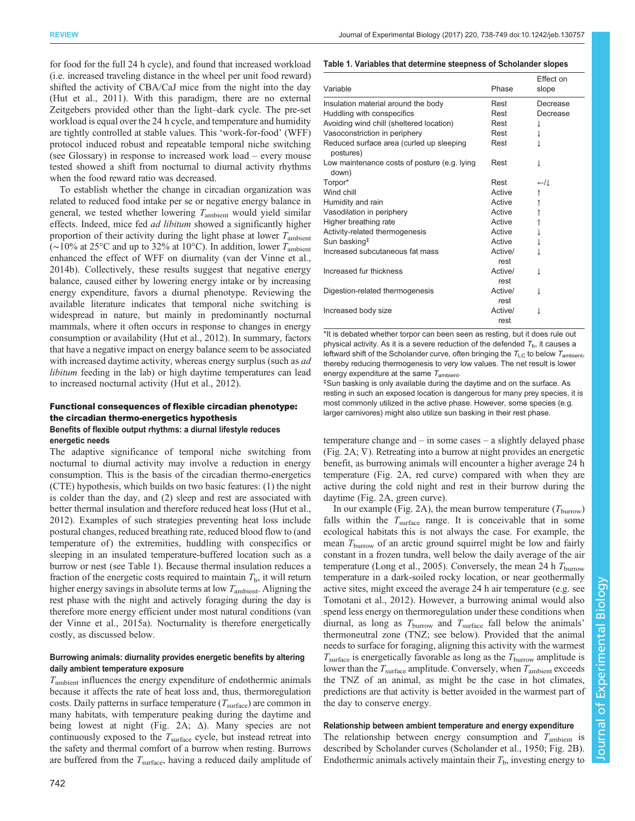<span id="page-4-0"></span>for food for the full 24 h cycle), and found that increased workload (i.e. increased traveling distance in the wheel per unit food reward) shifted the activity of CBA/CaJ mice from the night into the day [\(Hut et al., 2011](#page-10-0)). With this paradigm, there are no external Zeitgebers provided other than the light–dark cycle. The pre-set workload is equal over the 24 h cycle, and temperature and humidity are tightly controlled at stable values. This 'work-for-food' (WFF) protocol induced robust and repeatable temporal niche switching (see Glossary) in response to increased work load – every mouse tested showed a shift from nocturnal to diurnal activity rhythms when the food reward ratio was decreased.

To establish whether the change in circadian organization was related to reduced food intake per se or negative energy balance in general, we tested whether lowering  $T_{\text{ambient}}$  would yield similar effects. Indeed, mice fed ad libitum showed a significantly higher proportion of their activity during the light phase at lower  $T_{\text{ambient}}$ (∼10% at 25°C and up to 32% at 10°C). In addition, lower  $T_{\text{ambient}}$ enhanced the effect of WFF on diurnality [\(van der Vinne et al.,](#page-11-0) [2014b\)](#page-11-0). Collectively, these results suggest that negative energy balance, caused either by lowering energy intake or by increasing energy expenditure, favors a diurnal phenotype. Reviewing the available literature indicates that temporal niche switching is widespread in nature, but mainly in predominantly nocturnal mammals, where it often occurs in response to changes in energy consumption or availability [\(Hut et al., 2012](#page-10-0)). In summary, factors that have a negative impact on energy balance seem to be associated with increased daytime activity, whereas energy surplus (such as *ad*) libitum feeding in the lab) or high daytime temperatures can lead to increased nocturnal activity ([Hut et al., 2012](#page-10-0)).

## Functional consequences of flexible circadian phenotype: the circadian thermo-energetics hypothesis Benefits of flexible output rhythms: a diurnal lifestyle reduces energetic needs

The adaptive significance of temporal niche switching from nocturnal to diurnal activity may involve a reduction in energy consumption. This is the basis of the circadian thermo-energetics (CTE) hypothesis, which builds on two basic features: (1) the night is colder than the day, and (2) sleep and rest are associated with better thermal insulation and therefore reduced heat loss [\(Hut et al.,](#page-10-0) [2012](#page-10-0)). Examples of such strategies preventing heat loss include postural changes, reduced breathing rate, reduced blood flow to (and temperature of) the extremities, huddling with conspecifics or sleeping in an insulated temperature-buffered location such as a burrow or nest (see Table 1). Because thermal insulation reduces a fraction of the energetic costs required to maintain  $T<sub>b</sub>$ , it will return higher energy savings in absolute terms at low  $T_{\text{ambient}}$ . Aligning the rest phase with the night and actively foraging during the day is therefore more energy efficient under most natural conditions [\(van](#page-11-0) [der Vinne et al., 2015a\)](#page-11-0). Nocturnality is therefore energetically costly, as discussed below.

# Burrowing animals: diurnality provides energetic benefits by altering daily ambient temperature exposure

 $T_{\text{ambient}}$  influences the energy expenditure of endothermic animals because it affects the rate of heat loss and, thus, thermoregulation costs. Daily patterns in surface temperature  $(T<sub>surface</sub>)$  are common in many habitats, with temperature peaking during the daytime and being lowest at night [\(Fig. 2A](#page-5-0); Δ). Many species are not continuously exposed to the  $T<sub>surface</sub>$  cycle, but instead retreat into the safety and thermal comfort of a burrow when resting. Burrows are buffered from the  $T_{\text{surface}}$ , having a reduced daily amplitude of

# 742

# Table 1. Variables that determine steepness of Scholander slopes

|                                                       |                 | Effect on |
|-------------------------------------------------------|-----------------|-----------|
| Variable                                              | Phase           | slope     |
| Insulation material around the body                   | Rest            | Decrease  |
| Huddling with conspecifics                            | Rest            | Decrease  |
| Avoiding wind chill (sheltered location)              | Rest            | ↓         |
| Vasoconstriction in periphery                         | Rest            |           |
| Reduced surface area (curled up sleeping<br>postures) | Rest            |           |
| Low maintenance costs of posture (e.g. lying<br>down) | Rest            |           |
| Torpor*                                               | Rest            | ←/↓       |
| Wind chill                                            | Active          | ↑         |
| Humidity and rain                                     | Active          | ↑         |
| Vasodilation in periphery                             | Active          | ↑         |
| Higher breathing rate                                 | Active          | ↑         |
| Activity-related thermogenesis                        | Active          |           |
| Sun basking <sup>‡</sup>                              | Active          | ↓         |
| Increased subcutaneous fat mass                       | Active/<br>rest | T         |
| Increased fur thickness                               | Active/<br>rest |           |
| Digestion-related thermogenesis                       | Active/<br>rest |           |
| Increased body size                                   | Active/<br>rest |           |

\*It is debated whether torpor can been seen as resting, but it does rule out physical activity. As it is a severe reduction of the defended  $T_{\rm b}$ , it causes a leftward shift of the Scholander curve, often bringing the  $T_{LC}$  to below  $T_{\rm ambient}$ , thereby reducing thermogenesis to very low values. The net result is lower energy expenditure at the same  $T_{\rm ambient}$ .

Sun basking is only available during the daytime and on the surface. As resting in such an exposed location is dangerous for many prey species, it is most commonly utilized in the active phase. However, some species (e.g. larger carnivores) might also utilize sun basking in their rest phase.

temperature change and – in some cases – a slightly delayed phase [\(Fig. 2A](#page-5-0);  $\nabla$ ). Retreating into a burrow at night provides an energetic benefit, as burrowing animals will encounter a higher average 24 h temperature ([Fig. 2A](#page-5-0), red curve) compared with when they are active during the cold night and rest in their burrow during the daytime ([Fig. 2](#page-5-0)A, green curve).

In our example ([Fig. 2A](#page-5-0)), the mean burrow temperature  $(T_{\text{burnow}})$ falls within the  $T_{\text{surface}}$  range. It is conceivable that in some ecological habitats this is not always the case. For example, the mean  $T_{\text{burrow}}$  of an arctic ground squirrel might be low and fairly constant in a frozen tundra, well below the daily average of the air temperature ([Long et al., 2005\)](#page-10-0). Conversely, the mean 24 h  $T_{\text{burnow}}$ temperature in a dark-soiled rocky location, or near geothermally active sites, might exceed the average 24 h air temperature (e.g. see [Tomotani et al., 2012](#page-11-0)). However, a burrowing animal would also spend less energy on thermoregulation under these conditions when diurnal, as long as  $T_{\text{barrow}}$  and  $T_{\text{surface}}$  fall below the animals' thermoneutral zone (TNZ; see below). Provided that the animal needs to surface for foraging, aligning this activity with the warmest  $T_{\text{surface}}$  is energetically favorable as long as the  $T_{\text{barrow}}$  amplitude is lower than the  $T_{\text{surface}}$  amplitude. Conversely, when  $T_{\text{ambient}}$  exceeds the TNZ of an animal, as might be the case in hot climates, predictions are that activity is better avoided in the warmest part of the day to conserve energy.

# Relationship between ambient temperature and energy expenditure

The relationship between energy consumption and  $T_{\text{ambient}}$  is described by Scholander curves ([Scholander et al., 1950;](#page-11-0) [Fig. 2](#page-5-0)B). Endothermic animals actively maintain their  $T<sub>b</sub>$ , investing energy to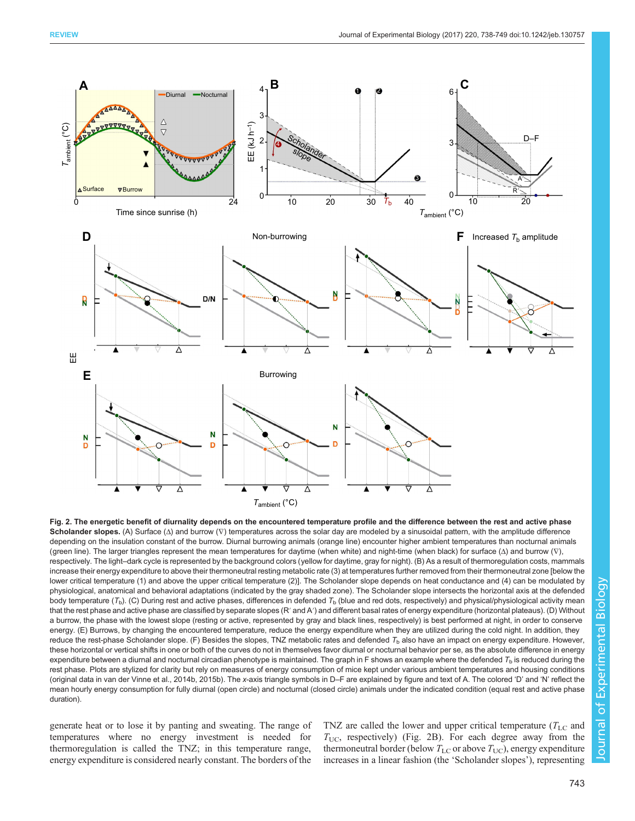<span id="page-5-0"></span>

Fig. 2. The energetic benefit of diurnality depends on the encountered temperature profile and the difference between the rest and active phase Scholander slopes. (A) Surface (Δ) and burrow (∇) temperatures across the solar day are modeled by a sinusoidal pattern, with the amplitude difference depending on the insulation constant of the burrow. Diurnal burrowing animals (orange line) encounter higher ambient temperatures than nocturnal animals (green line). The larger triangles represent the mean temperatures for daytime (when white) and night-time (when black) for surface (Δ) and burrow (∇), respectively. The light–dark cycle is represented by the background colors (yellow for daytime, gray for night). (B) As a result of thermoregulation costs, mammals increase their energy expenditure to above their thermoneutral resting metabolic rate (3) at temperatures further removed from their thermoneutral zone [below the lower critical temperature (1) and above the upper critical temperature (2)]. The Scholander slope depends on heat conductance and (4) can be modulated by physiological, anatomical and behavioral adaptations (indicated by the gray shaded zone). The Scholander slope intersects the horizontal axis at the defended body temperature ( $T_b$ ). (C) During rest and active phases, differences in defended  $T_b$  (blue and red dots, respectively) and physical/physiological activity mean that the rest phase and active phase are classified by separate slopes (R' and A') and different basal rates of energy expenditure (horizontal plateaus). (D) Without a burrow, the phase with the lowest slope (resting or active, represented by gray and black lines, respectively) is best performed at night, in order to conserve energy. (E) Burrows, by changing the encountered temperature, reduce the energy expenditure when they are utilized during the cold night. In addition, they reduce the rest-phase Scholander slope. (F) Besides the slopes, TNZ metabolic rates and defended  $T<sub>b</sub>$  also have an impact on energy expenditure. However, these horizontal or vertical shifts in one or both of the curves do not in themselves favor diurnal or nocturnal behavior per se, as the absolute difference in energy expenditure between a diurnal and nocturnal circadian phenotype is maintained. The graph in F shows an example where the defended  $T<sub>b</sub>$  is reduced during the rest phase. Plots are stylized for clarity but rely on measures of energy consumption of mice kept under various ambient temperatures and housing conditions (original data in [van der Vinne et al., 2014b](#page-11-0), [2015b\)](#page-11-0). The x-axis triangle symbols in D–F are explained by figure and text of A. The colored 'D' and 'N' reflect the mean hourly energy consumption for fully diurnal (open circle) and nocturnal (closed circle) animals under the indicated condition (equal rest and active phase duration).

generate heat or to lose it by panting and sweating. The range of temperatures where no energy investment is needed for thermoregulation is called the TNZ; in this temperature range, energy expenditure is considered nearly constant. The borders of the

TNZ are called the lower and upper critical temperature  $(T_{\text{LC}}$  and  $T_{\text{UC}}$ , respectively) (Fig. 2B). For each degree away from the thermoneutral border (below  $T_{\text{LC}}$  or above  $T_{\text{UC}}$ ), energy expenditure increases in a linear fashion (the 'Scholander slopes'), representing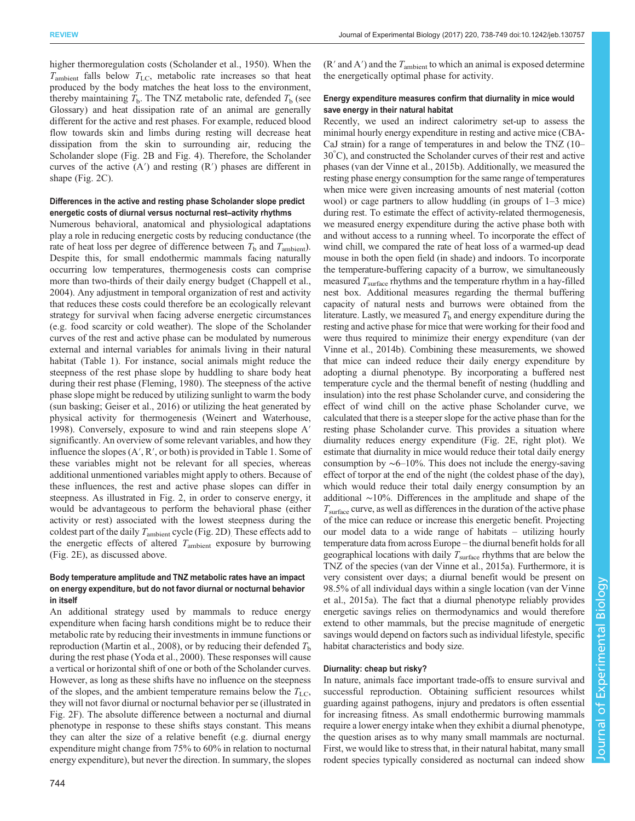higher thermoregulation costs ([Scholander et al., 1950\)](#page-11-0). When the  $T_{\text{ambient}}$  falls below  $T_{\text{LC}}$ , metabolic rate increases so that heat produced by the body matches the heat loss to the environment, thereby maintaining  $T<sub>b</sub>$ . The TNZ metabolic rate, defended  $T<sub>b</sub>$  (see Glossary) and heat dissipation rate of an animal are generally different for the active and rest phases. For example, reduced blood flow towards skin and limbs during resting will decrease heat dissipation from the skin to surrounding air, reducing the Scholander slope ([Fig. 2B](#page-5-0) and [Fig. 4](#page-8-0)). Therefore, the Scholander curves of the active  $(A')$  and resting  $(R')$  phases are different in shape [\(Fig. 2C](#page-5-0)).

# Differences in the active and resting phase Scholander slope predict energetic costs of diurnal versus nocturnal rest–activity rhythms

Numerous behavioral, anatomical and physiological adaptations play a role in reducing energetic costs by reducing conductance (the rate of heat loss per degree of difference between  $T<sub>b</sub>$  and  $T<sub>ambient</sub>$ . Despite this, for small endothermic mammals facing naturally occurring low temperatures, thermogenesis costs can comprise more than two-thirds of their daily energy budget [\(Chappell et al.,](#page-10-0) [2004](#page-10-0)). Any adjustment in temporal organization of rest and activity that reduces these costs could therefore be an ecologically relevant strategy for survival when facing adverse energetic circumstances (e.g. food scarcity or cold weather). The slope of the Scholander curves of the rest and active phase can be modulated by numerous external and internal variables for animals living in their natural habitat ([Table 1\)](#page-4-0). For instance, social animals might reduce the steepness of the rest phase slope by huddling to share body heat during their rest phase ([Fleming, 1980\)](#page-10-0). The steepness of the active phase slope might be reduced by utilizing sunlight to warm the body (sun basking; [Geiser et al., 2016](#page-10-0)) or utilizing the heat generated by physical activity for thermogenesis [\(Weinert and Waterhouse,](#page-11-0) [1998](#page-11-0)). Conversely, exposure to wind and rain steepens slope A′ significantly. An overview of some relevant variables, and how they influence the slopes (A′, R′, or both) is provided in [Table 1.](#page-4-0) Some of these variables might not be relevant for all species, whereas additional unmentioned variables might apply to others. Because of these influences, the rest and active phase slopes can differ in steepness. As illustrated in [Fig. 2,](#page-5-0) in order to conserve energy, it would be advantageous to perform the behavioral phase (either activity or rest) associated with the lowest steepness during the coldest part of the daily  $T_{\text{ambient}}$  cycle ([Fig. 2](#page-5-0)D). These effects add to the energetic effects of altered  $T_{\text{ambient}}$  exposure by burrowing [\(Fig. 2](#page-5-0)E), as discussed above.

# Body temperature amplitude and TNZ metabolic rates have an impact on energy expenditure, but do not favor diurnal or nocturnal behavior in itself

An additional strategy used by mammals to reduce energy expenditure when facing harsh conditions might be to reduce their metabolic rate by reducing their investments in immune functions or reproduction [\(Martin et al., 2008\)](#page-10-0), or by reducing their defended  $T<sub>b</sub>$ during the rest phase [\(Yoda et al., 2000\)](#page-11-0). These responses will cause a vertical or horizontal shift of one or both of the Scholander curves. However, as long as these shifts have no influence on the steepness of the slopes, and the ambient temperature remains below the  $T_{\text{LC}}$ , they will not favor diurnal or nocturnal behavior per se (illustrated in [Fig. 2F](#page-5-0)). The absolute difference between a nocturnal and diurnal phenotype in response to these shifts stays constant. This means they can alter the size of a relative benefit (e.g. diurnal energy expenditure might change from 75% to 60% in relation to nocturnal energy expenditure), but never the direction. In summary, the slopes  $(R'$  and  $A'$ ) and the  $T_{\text{ambient}}$  to which an animal is exposed determine the energetically optimal phase for activity.

# Energy expenditure measures confirm that diurnality in mice would save energy in their natural habitat

Recently, we used an indirect calorimetry set-up to assess the minimal hourly energy expenditure in resting and active mice (CBA-CaJ strain) for a range of temperatures in and below the TNZ (10– 30° C), and constructed the Scholander curves of their rest and active phases [\(van der Vinne et al., 2015b](#page-11-0)). Additionally, we measured the resting phase energy consumption for the same range of temperatures when mice were given increasing amounts of nest material (cotton wool) or cage partners to allow huddling (in groups of 1–3 mice) during rest. To estimate the effect of activity-related thermogenesis, we measured energy expenditure during the active phase both with and without access to a running wheel. To incorporate the effect of wind chill, we compared the rate of heat loss of a warmed-up dead mouse in both the open field (in shade) and indoors. To incorporate the temperature-buffering capacity of a burrow, we simultaneously measured  $T_{\text{surface}}$  rhythms and the temperature rhythm in a hay-filled nest box. Additional measures regarding the thermal buffering capacity of natural nests and burrows were obtained from the literature. Lastly, we measured  $T<sub>b</sub>$  and energy expenditure during the resting and active phase for mice that were working for their food and were thus required to minimize their energy expenditure [\(van der](#page-11-0) [Vinne et al., 2014b\)](#page-11-0). Combining these measurements, we showed that mice can indeed reduce their daily energy expenditure by adopting a diurnal phenotype. By incorporating a buffered nest temperature cycle and the thermal benefit of nesting (huddling and insulation) into the rest phase Scholander curve, and considering the effect of wind chill on the active phase Scholander curve, we calculated that there is a steeper slope for the active phase than for the resting phase Scholander curve. This provides a situation where diurnality reduces energy expenditure [\(Fig. 2](#page-5-0)E, right plot). We estimate that diurnality in mice would reduce their total daily energy consumption by ∼6–10%. This does not include the energy-saving effect of torpor at the end of the night (the coldest phase of the day), which would reduce their total daily energy consumption by an additional ∼10%. Differences in the amplitude and shape of the  $T<sub>surface</sub>$  curve, as well as differences in the duration of the active phase of the mice can reduce or increase this energetic benefit. Projecting our model data to a wide range of habitats – utilizing hourly temperature data from across Europe – the diurnal benefit holds for all geographical locations with daily  $T_{\text{surface}}$  rhythms that are below the TNZ of the species [\(van der Vinne et al., 2015a](#page-11-0)). Furthermore, it is very consistent over days; a diurnal benefit would be present on 98.5% of all individual days within a single location [\(van der Vinne](#page-11-0) [et al., 2015a\)](#page-11-0). The fact that a diurnal phenotype reliably provides energetic savings relies on thermodynamics and would therefore extend to other mammals, but the precise magnitude of energetic savings would depend on factors such as individual lifestyle, specific habitat characteristics and body size.

#### Diurnality: cheap but risky?

In nature, animals face important trade-offs to ensure survival and successful reproduction. Obtaining sufficient resources whilst guarding against pathogens, injury and predators is often essential for increasing fitness. As small endothermic burrowing mammals require a lower energy intake when they exhibit a diurnal phenotype, the question arises as to why many small mammals are nocturnal. First, we would like to stress that, in their natural habitat, many small rodent species typically considered as nocturnal can indeed show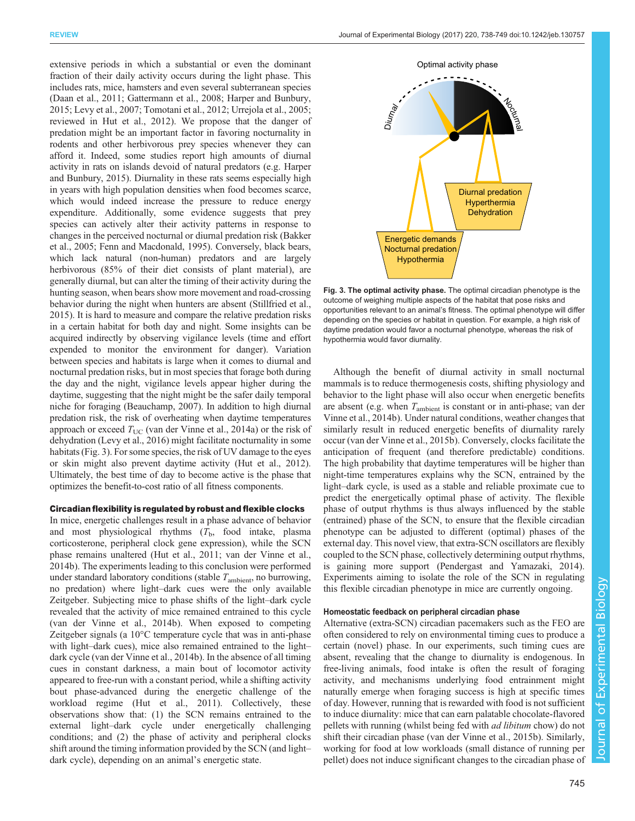<span id="page-7-0"></span>extensive periods in which a substantial or even the dominant fraction of their daily activity occurs during the light phase. This includes rats, mice, hamsters and even several subterranean species [\(Daan et al., 2011](#page-10-0); [Gattermann et al., 2008](#page-10-0); [Harper and Bunbury,](#page-10-0) [2015](#page-10-0); [Levy et al., 2007](#page-10-0); [Tomotani et al., 2012](#page-11-0); [Urrejola et al., 2005](#page-11-0); reviewed in [Hut et al., 2012\)](#page-10-0). We propose that the danger of predation might be an important factor in favoring nocturnality in rodents and other herbivorous prey species whenever they can afford it. Indeed, some studies report high amounts of diurnal activity in rats on islands devoid of natural predators (e.g. [Harper](#page-10-0) [and Bunbury, 2015](#page-10-0)). Diurnality in these rats seems especially high in years with high population densities when food becomes scarce, which would indeed increase the pressure to reduce energy expenditure. Additionally, some evidence suggests that prey species can actively alter their activity patterns in response to changes in the perceived nocturnal or diurnal predation risk [\(Bakker](#page-9-0) [et al., 2005;](#page-9-0) [Fenn and Macdonald, 1995\)](#page-10-0). Conversely, black bears, which lack natural (non-human) predators and are largely herbivorous (85% of their diet consists of plant material), are generally diurnal, but can alter the timing of their activity during the hunting season, when bears show more movement and road-crossing behavior during the night when hunters are absent ([Stillfried et al.,](#page-11-0) [2015\)](#page-11-0). It is hard to measure and compare the relative predation risks in a certain habitat for both day and night. Some insights can be acquired indirectly by observing vigilance levels (time and effort expended to monitor the environment for danger). Variation between species and habitats is large when it comes to diurnal and nocturnal predation risks, but in most species that forage both during the day and the night, vigilance levels appear higher during the daytime, suggesting that the night might be the safer daily temporal niche for foraging [\(Beauchamp, 2007\)](#page-9-0). In addition to high diurnal predation risk, the risk of overheating when daytime temperatures approach or exceed  $T_{\text{UC}}$  ([van der Vinne et al., 2014a\)](#page-11-0) or the risk of dehydration ([Levy et al., 2016](#page-10-0)) might facilitate nocturnality in some habitats (Fig. 3). For some species, the risk of UV damage to the eyes or skin might also prevent daytime activity [\(Hut et al., 2012\)](#page-10-0). Ultimately, the best time of day to become active is the phase that optimizes the benefit-to-cost ratio of all fitness components.

# Circadian flexibility is regulated by robust and flexible clocks

In mice, energetic challenges result in a phase advance of behavior and most physiological rhythms  $(T<sub>b</sub>,$  food intake, plasma corticosterone, peripheral clock gene expression), while the SCN phase remains unaltered [\(Hut et al., 2011](#page-10-0); [van der Vinne et al.,](#page-11-0) [2014b\)](#page-11-0). The experiments leading to this conclusion were performed under standard laboratory conditions (stable  $T_{\text{ambient}}$ , no burrowing, no predation) where light–dark cues were the only available Zeitgeber. Subjecting mice to phase shifts of the light–dark cycle revealed that the activity of mice remained entrained to this cycle [\(van der Vinne et al., 2014b\)](#page-11-0). When exposed to competing Zeitgeber signals (a 10°C temperature cycle that was in anti-phase with light–dark cues), mice also remained entrained to the light– dark cycle ([van der Vinne et al., 2014b](#page-11-0)). In the absence of all timing cues in constant darkness, a main bout of locomotor activity appeared to free-run with a constant period, while a shifting activity bout phase-advanced during the energetic challenge of the workload regime ([Hut et al., 2011](#page-10-0)). Collectively, these observations show that: (1) the SCN remains entrained to the external light–dark cycle under energetically challenging conditions; and (2) the phase of activity and peripheral clocks shift around the timing information provided by the SCN (and light– dark cycle), depending on an animal's energetic state.



Fig. 3. The optimal activity phase. The optimal circadian phenotype is the outcome of weighing multiple aspects of the habitat that pose risks and opportunities relevant to an animal's fitness. The optimal phenotype will differ depending on the species or habitat in question. For example, a high risk of daytime predation would favor a nocturnal phenotype, whereas the risk of hypothermia would favor diurnality.

Although the benefit of diurnal activity in small nocturnal mammals is to reduce thermogenesis costs, shifting physiology and behavior to the light phase will also occur when energetic benefits are absent (e.g. when  $T_{\text{ambient}}$  is constant or in anti-phase; [van der](#page-11-0) [Vinne et al., 2014b\)](#page-11-0). Under natural conditions, weather changes that similarly result in reduced energetic benefits of diurnality rarely occur ([van der Vinne et al., 2015b](#page-11-0)). Conversely, clocks facilitate the anticipation of frequent (and therefore predictable) conditions. The high probability that daytime temperatures will be higher than night-time temperatures explains why the SCN, entrained by the light–dark cycle, is used as a stable and reliable proximate cue to predict the energetically optimal phase of activity. The flexible phase of output rhythms is thus always influenced by the stable (entrained) phase of the SCN, to ensure that the flexible circadian phenotype can be adjusted to different (optimal) phases of the external day. This novel view, that extra-SCN oscillators are flexibly coupled to the SCN phase, collectively determining output rhythms, is gaining more support [\(Pendergast and Yamazaki, 2014\)](#page-11-0). Experiments aiming to isolate the role of the SCN in regulating this flexible circadian phenotype in mice are currently ongoing.

#### Homeostatic feedback on peripheral circadian phase

Alternative (extra-SCN) circadian pacemakers such as the FEO are often considered to rely on environmental timing cues to produce a certain (novel) phase. In our experiments, such timing cues are absent, revealing that the change to diurnality is endogenous. In free-living animals, food intake is often the result of foraging activity, and mechanisms underlying food entrainment might naturally emerge when foraging success is high at specific times of day. However, running that is rewarded with food is not sufficient to induce diurnality: mice that can earn palatable chocolate-flavored pellets with running (whilst being fed with ad libitum chow) do not shift their circadian phase ([van der Vinne et al., 2015b\)](#page-11-0). Similarly, working for food at low workloads (small distance of running per pellet) does not induce significant changes to the circadian phase of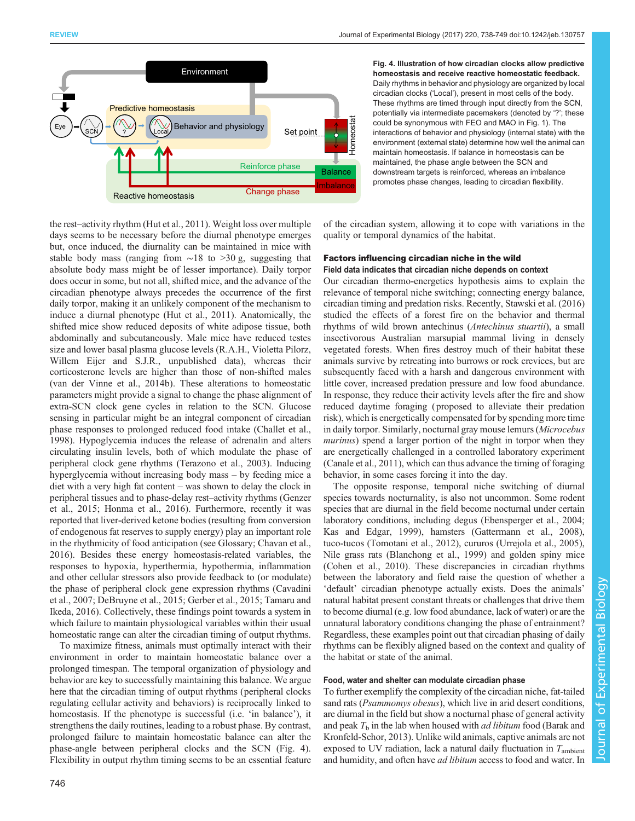<span id="page-8-0"></span>

Fig. 4. Illustration of how circadian clocks allow predictive homeostasis and receive reactive homeostatic feedback. Daily rhythms in behavior and physiology are organized by local circadian clocks ('Local'), present in most cells of the body. These rhythms are timed through input directly from the SCN, potentially via intermediate pacemakers (denoted by '?'; these could be synonymous with FEO and MAO in [Fig. 1](#page-2-0)). The interactions of behavior and physiology (internal state) with the environment (external state) determine how well the animal can maintain homeostasis. If balance in homeostasis can be maintained, the phase angle between the SCN and downstream targets is reinforced, whereas an imbalance promotes phase changes, leading to circadian flexibility.

the rest–activity rhythm ([Hut et al., 2011\)](#page-10-0). Weight loss over multiple days seems to be necessary before the diurnal phenotype emerges but, once induced, the diurnality can be maintained in mice with stable body mass (ranging from ∼18 to >30 g, suggesting that absolute body mass might be of lesser importance). Daily torpor does occur in some, but not all, shifted mice, and the advance of the circadian phenotype always precedes the occurrence of the first daily torpor, making it an unlikely component of the mechanism to induce a diurnal phenotype ([Hut et al., 2011\)](#page-10-0). Anatomically, the shifted mice show reduced deposits of white adipose tissue, both abdominally and subcutaneously. Male mice have reduced testes size and lower basal plasma glucose levels (R.A.H., Violetta Pilorz, Willem Eijer and S.J.R., unpublished data), whereas their corticosterone levels are higher than those of non-shifted males [\(van der Vinne et al., 2014b\)](#page-11-0). These alterations to homeostatic parameters might provide a signal to change the phase alignment of extra-SCN clock gene cycles in relation to the SCN. Glucose sensing in particular might be an integral component of circadian phase responses to prolonged reduced food intake ([Challet et al.,](#page-10-0) [1998](#page-10-0)). Hypoglycemia induces the release of adrenalin and alters circulating insulin levels, both of which modulate the phase of peripheral clock gene rhythms [\(Terazono et al., 2003](#page-11-0)). Inducing hyperglycemia without increasing body mass – by feeding mice a diet with a very high fat content – was shown to delay the clock in peripheral tissues and to phase-delay rest–activity rhythms ([Genzer](#page-10-0) [et al., 2015; Honma et al., 2016\)](#page-10-0). Furthermore, recently it was reported that liver-derived ketone bodies (resulting from conversion of endogenous fat reserves to supply energy) play an important role in the rhythmicity of food anticipation (see Glossary; [Chavan et al.,](#page-10-0) [2016](#page-10-0)). Besides these energy homeostasis-related variables, the responses to hypoxia, hyperthermia, hypothermia, inflammation and other cellular stressors also provide feedback to (or modulate) the phase of peripheral clock gene expression rhythms [\(Cavadini](#page-10-0) [et al., 2007](#page-10-0); [DeBruyne et al., 2015](#page-10-0); [Gerber et al., 2015;](#page-10-0) [Tamaru and](#page-11-0) [Ikeda, 2016](#page-11-0)). Collectively, these findings point towards a system in which failure to maintain physiological variables within their usual homeostatic range can alter the circadian timing of output rhythms.

To maximize fitness, animals must optimally interact with their environment in order to maintain homeostatic balance over a prolonged timespan. The temporal organization of physiology and behavior are key to successfully maintaining this balance. We argue here that the circadian timing of output rhythms (peripheral clocks regulating cellular activity and behaviors) is reciprocally linked to homeostasis. If the phenotype is successful (i.e. 'in balance'), it strengthens the daily routines, leading to a robust phase. By contrast, prolonged failure to maintain homeostatic balance can alter the phase-angle between peripheral clocks and the SCN (Fig. 4). Flexibility in output rhythm timing seems to be an essential feature

of the circadian system, allowing it to cope with variations in the quality or temporal dynamics of the habitat.

# Factors influencing circadian niche in the wild

Field data indicates that circadian niche depends on context Our circadian thermo-energetics hypothesis aims to explain the relevance of temporal niche switching; connecting energy balance, circadian timing and predation risks. Recently, [Stawski et al. \(2016\)](#page-11-0) studied the effects of a forest fire on the behavior and thermal rhythms of wild brown antechinus (Antechinus stuartii), a small insectivorous Australian marsupial mammal living in densely vegetated forests. When fires destroy much of their habitat these animals survive by retreating into burrows or rock crevices, but are subsequently faced with a harsh and dangerous environment with little cover, increased predation pressure and low food abundance. In response, they reduce their activity levels after the fire and show reduced daytime foraging ( proposed to alleviate their predation risk), which is energetically compensated for by spending more time in daily torpor. Similarly, nocturnal gray mouse lemurs (Microcebus murinus) spend a larger portion of the night in torpor when they are energetically challenged in a controlled laboratory experiment [\(Canale et al., 2011](#page-9-0)), which can thus advance the timing of foraging behavior, in some cases forcing it into the day.

The opposite response, temporal niche switching of diurnal species towards nocturnality, is also not uncommon. Some rodent species that are diurnal in the field become nocturnal under certain laboratory conditions, including degus ([Ebensperger et al., 2004](#page-10-0); [Kas and Edgar, 1999](#page-10-0)), hamsters ([Gattermann et al., 2008\)](#page-10-0), tuco-tucos [\(Tomotani et al., 2012](#page-11-0)), cururos ([Urrejola et al., 2005\)](#page-11-0), Nile grass rats ([Blanchong et al., 1999](#page-9-0)) and golden spiny mice [\(Cohen et al., 2010\)](#page-10-0). These discrepancies in circadian rhythms between the laboratory and field raise the question of whether a 'default' circadian phenotype actually exists. Does the animals' natural habitat present constant threats or challenges that drive them to become diurnal (e.g. low food abundance, lack of water) or are the unnatural laboratory conditions changing the phase of entrainment? Regardless, these examples point out that circadian phasing of daily rhythms can be flexibly aligned based on the context and quality of the habitat or state of the animal.

#### Food, water and shelter can modulate circadian phase

To further exemplify the complexity of the circadian niche, fat-tailed sand rats (*Psammomys obesus*), which live in arid desert conditions, are diurnal in the field but show a nocturnal phase of general activity and peak  $T<sub>b</sub>$  in the lab when housed with *ad libitum* food [\(Barak and](#page-9-0) [Kronfeld-Schor, 2013](#page-9-0)). Unlike wild animals, captive animals are not exposed to UV radiation, lack a natural daily fluctuation in  $T_{\text{ambient}}$ and humidity, and often have *ad libitum* access to food and water. In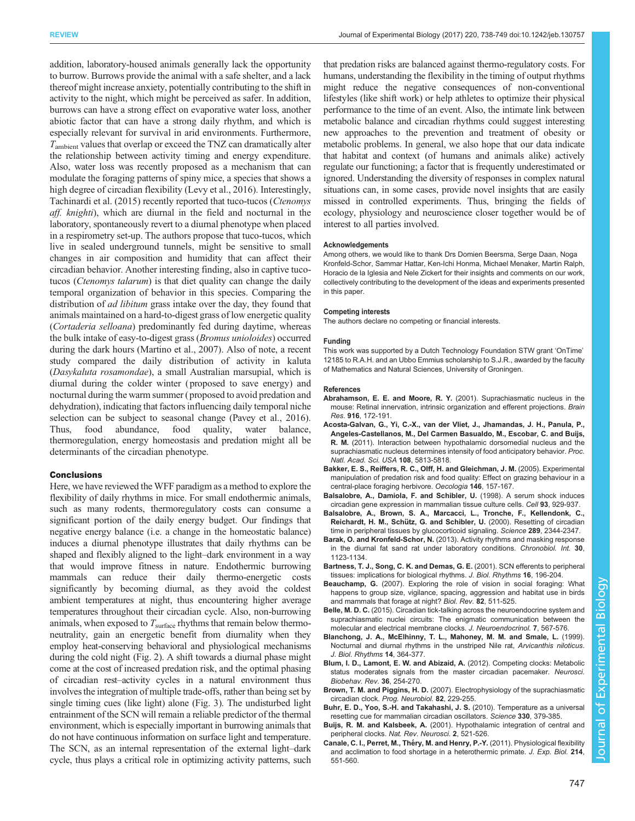<span id="page-9-0"></span>addition, laboratory-housed animals generally lack the opportunity to burrow. Burrows provide the animal with a safe shelter, and a lack thereof might increase anxiety, potentially contributing to the shift in activity to the night, which might be perceived as safer. In addition, burrows can have a strong effect on evaporative water loss, another abiotic factor that can have a strong daily rhythm, and which is especially relevant for survival in arid environments. Furthermore,  $T_{\text{ambient}}$  values that overlap or exceed the TNZ can dramatically alter the relationship between activity timing and energy expenditure. Also, water loss was recently proposed as a mechanism that can modulate the foraging patterns of spiny mice, a species that shows a high degree of circadian flexibility [\(Levy et al., 2016\)](#page-10-0). Interestingly, [Tachinardi et al. \(2015\)](#page-11-0) recently reported that tuco-tucos (Ctenomys aff. knighti), which are diurnal in the field and nocturnal in the laboratory, spontaneously revert to a diurnal phenotype when placed in a respirometry set-up. The authors propose that tuco-tucos, which live in sealed underground tunnels, might be sensitive to small changes in air composition and humidity that can affect their circadian behavior. Another interesting finding, also in captive tucotucos (Ctenomys talarum) is that diet quality can change the daily temporal organization of behavior in this species. Comparing the distribution of *ad libitum* grass intake over the day, they found that animals maintained on a hard-to-digest grass of low energetic quality (Cortaderia selloana) predominantly fed during daytime, whereas the bulk intake of easy-to-digest grass (Bromus unioloides) occurred during the dark hours [\(Martino et al., 2007](#page-10-0)). Also of note, a recent study compared the daily distribution of activity in kaluta (Dasykaluta rosamondae), a small Australian marsupial, which is diurnal during the colder winter ( proposed to save energy) and nocturnal during the warm summer ( proposed to avoid predation and dehydration), indicating that factors influencing daily temporal niche selection can be subject to seasonal change [\(Pavey et al., 2016\)](#page-11-0). Thus, food abundance, food quality, water balance, thermoregulation, energy homeostasis and predation might all be determinants of the circadian phenotype.

#### Conclusions

Here, we have reviewed the WFF paradigm as a method to explore the flexibility of daily rhythms in mice. For small endothermic animals, such as many rodents, thermoregulatory costs can consume a significant portion of the daily energy budget. Our findings that negative energy balance (i.e. a change in the homeostatic balance) induces a diurnal phenotype illustrates that daily rhythms can be shaped and flexibly aligned to the light–dark environment in a way that would improve fitness in nature. Endothermic burrowing mammals can reduce their daily thermo-energetic costs significantly by becoming diurnal, as they avoid the coldest ambient temperatures at night, thus encountering higher average temperatures throughout their circadian cycle. Also, non-burrowing animals, when exposed to  $T_{\text{surface}}$  rhythms that remain below thermoneutrality, gain an energetic benefit from diurnality when they employ heat-conserving behavioral and physiological mechanisms during the cold night [\(Fig. 2](#page-5-0)). A shift towards a diurnal phase might come at the cost of increased predation risk, and the optimal phasing of circadian rest–activity cycles in a natural environment thus involves the integration of multiple trade-offs, rather than being set by single timing cues (like light) alone [\(Fig. 3\)](#page-7-0). The undisturbed light entrainment of the SCN will remain a reliable predictor of the thermal environment, which is especially important in burrowing animals that do not have continuous information on surface light and temperature. The SCN, as an internal representation of the external light–dark cycle, thus plays a critical role in optimizing activity patterns, such

that predation risks are balanced against thermo-regulatory costs. For humans, understanding the flexibility in the timing of output rhythms might reduce the negative consequences of non-conventional lifestyles (like shift work) or help athletes to optimize their physical performance to the time of an event. Also, the intimate link between metabolic balance and circadian rhythms could suggest interesting new approaches to the prevention and treatment of obesity or metabolic problems. In general, we also hope that our data indicate that habitat and context (of humans and animals alike) actively regulate our functioning; a factor that is frequently underestimated or ignored. Understanding the diversity of responses in complex natural situations can, in some cases, provide novel insights that are easily missed in controlled experiments. Thus, bringing the fields of ecology, physiology and neuroscience closer together would be of interest to all parties involved.

#### **Acknowledgements**

Among others, we would like to thank Drs Domien Beersma, Serge Daan, Noga Kronfeld-Schor, Sammar Hattar, Ken-Ichi Honma, Michael Menaker, Martin Ralph, Horacio de la Iglesia and Nele Zickert for their insights and comments on our work, collectively contributing to the development of the ideas and experiments presented in this paper.

#### Competing interests

The authors declare no competing or financial interests.

#### Funding

This work was supported by a Dutch Technology Foundation STW grant 'OnTime' 12185 to R.A.H. and an Ubbo Emmius scholarship to S.J.R., awarded by the faculty of Mathematics and Natural Sciences, University of Groningen.

#### References

- Abrahamson, E. E. and Moore, R. Y. [\(2001\). Suprachiasmatic nucleus in the](http://dx.doi.org/10.1016/S0006-8993(01)02890-6) [mouse: Retinal innervation, intrinsic organization and efferent projections.](http://dx.doi.org/10.1016/S0006-8993(01)02890-6) Brain Res. 916[, 172-191.](http://dx.doi.org/10.1016/S0006-8993(01)02890-6)
- [Acosta-Galvan, G., Yi, C.-X., van der Vliet, J., Jhamandas, J. H., Panula, P.,](http://dx.doi.org/10.1073/pnas.1015551108) [Angeles-Castellanos, M., Del Carmen Basualdo, M., Escobar, C. and Buijs,](http://dx.doi.org/10.1073/pnas.1015551108) R. M. [\(2011\). Interaction between hypothalamic dorsomedial nucleus and the](http://dx.doi.org/10.1073/pnas.1015551108) [suprachiasmatic nucleus determines intensity of food anticipatory behavior.](http://dx.doi.org/10.1073/pnas.1015551108) Proc. [Natl. Acad. Sci. USA](http://dx.doi.org/10.1073/pnas.1015551108) 108, 5813-5818.
- [Bakker, E. S., Reiffers, R. C., Olff, H. and Gleichman, J. M.](http://dx.doi.org/10.1007/s00442-005-0180-7) (2005). Experimental [manipulation of predation risk and food quality: Effect on grazing behaviour in a](http://dx.doi.org/10.1007/s00442-005-0180-7) [central-place foraging herbivore.](http://dx.doi.org/10.1007/s00442-005-0180-7) Oecologia 146, 157-167.
- [Balsalobre, A., Damiola, F. and Schibler, U.](http://dx.doi.org/10.1016/S0092-8674(00)81199-X) (1998). A serum shock induces [circadian gene expression in mammalian tissue culture cells.](http://dx.doi.org/10.1016/S0092-8674(00)81199-X) Cell 93, 929-937.
- [Balsalobre, A., Brown, S. A., Marcacci, L., Tronche, F., Kellendonk, C.,](http://dx.doi.org/10.1126/science.289.5488.2344) Reichardt, H. M., Schütz, G. and Schibler, U. [\(2000\). Resetting of circadian](http://dx.doi.org/10.1126/science.289.5488.2344) [time in peripheral tissues by glucocorticoid signaling.](http://dx.doi.org/10.1126/science.289.5488.2344) Science 289, 2344-2347.
- Barak, O. and Kronfeld-Schor, N. [\(2013\). Activity rhythms and masking response](http://dx.doi.org/10.3109/07420528.2013.805337) [in the diurnal fat sand rat under laboratory conditions.](http://dx.doi.org/10.3109/07420528.2013.805337) Chronobiol. Int. 30, [1123-1134.](http://dx.doi.org/10.3109/07420528.2013.805337)
- [Bartness, T. J., Song, C. K. and Demas, G. E.](http://dx.doi.org/10.1177/074873040101600302) (2001). SCN efferents to peripheral [tissues: implications for biological rhythms.](http://dx.doi.org/10.1177/074873040101600302) J. Biol. Rhythms 16, 196-204.
- Beauchamp, G. [\(2007\). Exploring the role of vision in social foraging: What](http://dx.doi.org/10.1111/j.1469-185X.2007.00021.x) [happens to group size, vigilance, spacing, aggression and habitat use in birds](http://dx.doi.org/10.1111/j.1469-185X.2007.00021.x) [and mammals that forage at night?](http://dx.doi.org/10.1111/j.1469-185X.2007.00021.x) Biol. Rev. 82, 511-525.
- Belle, M. D. C. [\(2015\). Circadian tick-talking across the neuroendocrine system and](http://dx.doi.org/10.1111/jne.12279) [suprachiasmatic nuclei circuits: The enigmatic communication between the](http://dx.doi.org/10.1111/jne.12279) [molecular and electrical membrane clocks.](http://dx.doi.org/10.1111/jne.12279) J. Neuroendocrinol. 7, 567-576.
- [Blanchong, J. A., McElhinny, T. L., Mahoney, M. M. and Smale, L.](http://dx.doi.org/10.1177/074873099129000777) (1999). [Nocturnal and diurnal rhythms in the unstriped Nile rat,](http://dx.doi.org/10.1177/074873099129000777) Arvicanthis niloticus. [J. Biol. Rhythms](http://dx.doi.org/10.1177/074873099129000777) 14, 364-377.
- [Blum, I. D., Lamont, E. W. and Abizaid, A.](http://dx.doi.org/10.1016/j.neubiorev.2011.06.003) (2012). Competing clocks: Metabolic [status moderates signals from the master circadian pacemaker.](http://dx.doi.org/10.1016/j.neubiorev.2011.06.003) Neurosci. [Biobehav. Rev.](http://dx.doi.org/10.1016/j.neubiorev.2011.06.003) 36, 254-270.
- Brown, T. M. and Piggins, H. D. [\(2007\). Electrophysiology of the suprachiasmatic](http://dx.doi.org/10.1016/j.pneurobio.2007.05.002) circadian clock. [Prog. Neurobiol.](http://dx.doi.org/10.1016/j.pneurobio.2007.05.002) 82, 229-255.
- [Buhr, E. D., Yoo, S.-H. and Takahashi, J. S.](http://dx.doi.org/10.1126/science.1195262) (2010). Temperature as a universal [resetting cue for mammalian circadian oscillators.](http://dx.doi.org/10.1126/science.1195262) Science 330, 379-385.
- Buijs, R. M. and Kalsbeek, A. [\(2001\). Hypothalamic integration of central and](http://dx.doi.org/10.1038/35081582) peripheral clocks. [Nat. Rev. Neurosci.](http://dx.doi.org/10.1038/35081582) 2, 521-526.
- Canale, C. I., Perret, M., Théry, M. and Henry, P.-Y. [\(2011\). Physiological flexibility](http://dx.doi.org/10.1242/jeb.046987) [and acclimation to food shortage in a heterothermic primate.](http://dx.doi.org/10.1242/jeb.046987) J. Exp. Biol. 214, [551-560.](http://dx.doi.org/10.1242/jeb.046987)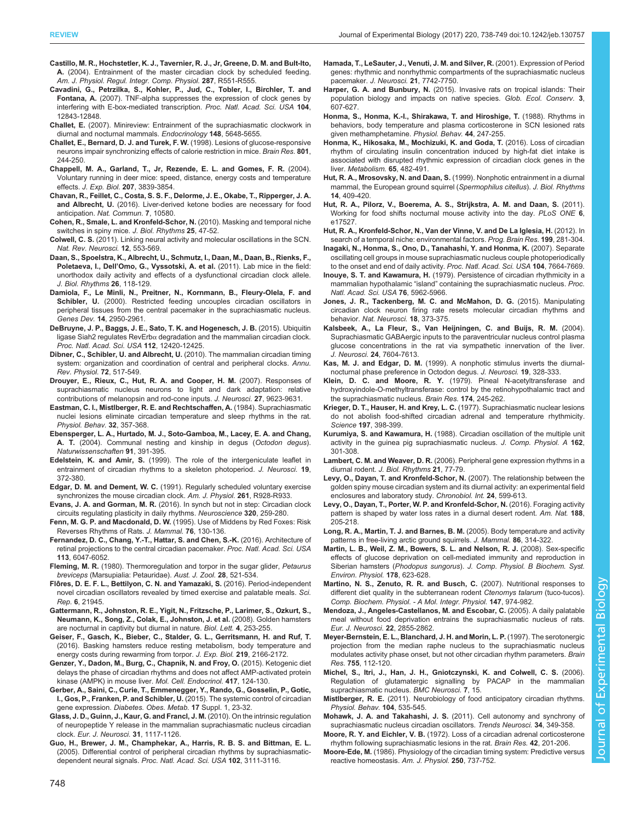- <span id="page-10-0"></span>[Castillo, M. R., Hochstetler, K. J., Tavernier, R. J., Jr, Greene, D. M. and Bult-Ito,](http://dx.doi.org/10.1152/ajpregu.00247.2004) A. [\(2004\). Entrainment of the master circadian clock by scheduled feeding.](http://dx.doi.org/10.1152/ajpregu.00247.2004) [Am. J. Physiol. Regul. Integr. Comp. Physiol.](http://dx.doi.org/10.1152/ajpregu.00247.2004) 287, R551-R555.
- [Cavadini, G., Petrzilka, S., Kohler, P., Jud, C., Tobler, I., Birchler, T. and](http://dx.doi.org/10.1073/pnas.0701466104) Fontana, A. [\(2007\). TNF-alpha suppresses the expression of clock genes by](http://dx.doi.org/10.1073/pnas.0701466104) [interfering with E-box-mediated transcription.](http://dx.doi.org/10.1073/pnas.0701466104) Proc. Natl. Acad. Sci. USA 104, [12843-12848.](http://dx.doi.org/10.1073/pnas.0701466104)
- Challet, E. [\(2007\). Minireview: Entrainment of the suprachiasmatic clockwork in](http://dx.doi.org/10.1210/en.2007-0804) [diurnal and nocturnal mammals.](http://dx.doi.org/10.1210/en.2007-0804) Endocrinology 148, 5648-5655.
- [Challet, E., Bernard, D. J. and Turek, F. W.](http://dx.doi.org/10.1016/S0006-8993(98)00590-3) (1998). Lesions of glucose-responsive [neurons impair synchronizing effects of calorie restriction in mice.](http://dx.doi.org/10.1016/S0006-8993(98)00590-3) Brain Res. 801, [244-250.](http://dx.doi.org/10.1016/S0006-8993(98)00590-3)
- [Chappell, M. A., Garland, T., Jr, Rezende, E. L. and Gomes, F. R.](http://dx.doi.org/10.1242/jeb.01213) (2004). [Voluntary running in deer mice: speed, distance, energy costs and temperature](http://dx.doi.org/10.1242/jeb.01213) effects. J. Exp. Biol. 207[, 3839-3854.](http://dx.doi.org/10.1242/jeb.01213)
- [Chavan, R., Feillet, C., Costa, S. S. F., Delorme, J. E., Okabe, T., Ripperger, J. A.](http://dx.doi.org/10.1038/ncomms10580) and Albrecht, U. [\(2016\). Liver-derived ketone bodies are necessary for food](http://dx.doi.org/10.1038/ncomms10580) anticipation. [Nat. Commun.](http://dx.doi.org/10.1038/ncomms10580) 7, 10580.
- [Cohen, R., Smale, L. and Kronfeld-Schor, N.](http://dx.doi.org/10.1177/0748730409351672) (2010). Masking and temporal niche [switches in spiny mice.](http://dx.doi.org/10.1177/0748730409351672) J. Biol. Rhythms 25, 47-52.
- Colwell, C. S. [\(2011\). Linking neural activity and molecular oscillations in the SCN.](http://dx.doi.org/10.1038/nrn3086) [Nat. Rev. Neurosci.](http://dx.doi.org/10.1038/nrn3086) 12, 553-569.
- [Daan, S., Spoelstra, K., Albrecht, U., Schmutz, I., Daan, M., Daan, B., Rienks, F.,](http://dx.doi.org/10.1177/0748730410397645) Poletaeva, I., Dell'[Omo, G., Vyssotski, A. et al.](http://dx.doi.org/10.1177/0748730410397645) (2011). Lab mice in the field: [unorthodox daily activity and effects of a dysfunctional circadian clock allele.](http://dx.doi.org/10.1177/0748730410397645) [J. Biol. Rhythms](http://dx.doi.org/10.1177/0748730410397645) 26, 118-129.
- [Damiola, F., Le Minli, N., Preitner, N., Kornmann, B., Fleury-Olela, F. and](http://dx.doi.org/10.1101/gad.183500) Schibler, U. [\(2000\). Restricted feeding uncouples circadian oscillators in](http://dx.doi.org/10.1101/gad.183500) [peripheral tissues from the central pacemaker in the suprachiasmatic nucleus.](http://dx.doi.org/10.1101/gad.183500) Genes Dev. 14[, 2950-2961.](http://dx.doi.org/10.1101/gad.183500)
- [DeBruyne, J. P., Baggs, J. E., Sato, T. K. and Hogenesch, J. B.](http://dx.doi.org/10.1073/pnas.1501204112) (2015). Ubiquitin ligase Siah2 regulates RevErbα [degradation and the mammalian circadian clock.](http://dx.doi.org/10.1073/pnas.1501204112) [Proc. Natl. Acad. Sci. USA](http://dx.doi.org/10.1073/pnas.1501204112) 112, 12420-12425.
- [Dibner, C., Schibler, U. and Albrecht, U.](http://dx.doi.org/10.1146/annurev-physiol-021909-135821) (2010). The mammalian circadian timing [system: organization and coordination of central and peripheral clocks.](http://dx.doi.org/10.1146/annurev-physiol-021909-135821) Annu. [Rev. Physiol.](http://dx.doi.org/10.1146/annurev-physiol-021909-135821) 72, 517-549.
- [Drouyer, E., Rieux, C., Hut, R. A. and Cooper, H. M.](http://dx.doi.org/10.1523/JNEUROSCI.1391-07.2007) (2007). Responses of [suprachiasmatic nucleus neurons to light and dark adaptation: relative](http://dx.doi.org/10.1523/JNEUROSCI.1391-07.2007) [contributions of melanopsin and rod-cone inputs.](http://dx.doi.org/10.1523/JNEUROSCI.1391-07.2007) J. Neurosci. 27, 9623-9631.
- [Eastman, C. I., Mistlberger, R. E. and Rechtschaffen, A.](http://dx.doi.org/10.1016/0031-9384(84)90248-8) (1984). Suprachiasmatic [nuclei lesions eliminate circadian temperature and sleep rhythms in the rat.](http://dx.doi.org/10.1016/0031-9384(84)90248-8) [Physiol. Behav.](http://dx.doi.org/10.1016/0031-9384(84)90248-8) 32, 357-368.
- [Ebensperger, L. A., Hurtado, M. J., Soto-Gamboa, M., Lacey, E. A. and Chang,](http://dx.doi.org/10.1007/s00114-004-0545-5) A. T. [\(2004\). Communal nesting and kinship in degus \(](http://dx.doi.org/10.1007/s00114-004-0545-5)Octodon degus). [Naturwissenschaften](http://dx.doi.org/10.1007/s00114-004-0545-5) 91, 391-395.
- Edelstein, K. and Amir, S. (1999). The role of the intergeniculate leaflet in entrainment of circadian rhythms to a skeleton photoperiod. J. Neurosci. 19, 372-380.
- Edgar, D. M. and Dement, W. C. (1991). Regularly scheduled voluntary exercise synchronizes the mouse circadian clock. Am. J. Physiol. 261, R928-R933.
- Evans, J. A. and Gorman, M. R. [\(2016\). In synch but not in step: Circadian clock](http://dx.doi.org/10.1016/j.neuroscience.2016.01.072) [circuits regulating plasticity in daily rhythms.](http://dx.doi.org/10.1016/j.neuroscience.2016.01.072) Neuroscience 320, 259-280.
- Fenn, M. G. P. and Macdonald, D. W. [\(1995\). Use of Middens by Red Foxes: Risk](http://dx.doi.org/10.2307/1382321) [Reverses Rhythms of Rats.](http://dx.doi.org/10.2307/1382321) J. Mammal. 76, 130-136.
- [Fernandez, D. C., Chang, Y.-T., Hattar, S. and Chen, S.-K.](http://dx.doi.org/10.1073/pnas.1523629113) (2016). Architecture of [retinal projections to the central circadian pacemaker.](http://dx.doi.org/10.1073/pnas.1523629113) Proc. Natl. Acad. Sci. USA 113[, 6047-6052.](http://dx.doi.org/10.1073/pnas.1523629113)
- Fleming, M. R. [\(1980\). Thermoregulation and torpor in the sugar glider,](http://dx.doi.org/10.1071/ZO9800521) Petaurus breviceps [\(Marsupialia: Petauridae\).](http://dx.doi.org/10.1071/ZO9800521) Aust. J. Zool. 28, 521-534.
- Flô[res, D. E. F. L., Bettilyon, C. N. and Yamazaki, S.](http://dx.doi.org/10.1038/srep21945) (2016). Period-independent [novel circadian oscillators revealed by timed exercise and palatable meals.](http://dx.doi.org/10.1038/srep21945) Sci. Rep. 6[, 21945.](http://dx.doi.org/10.1038/srep21945)
- [Gattermann, R., Johnston, R. E., Yigit, N., Fritzsche, P., Larimer, S., Ozkurt, S.,](http://dx.doi.org/10.1098/rsbl.2008.0066) [Neumann, K., Song, Z., Colak, E., Johnston, J. et al.](http://dx.doi.org/10.1098/rsbl.2008.0066) (2008). Golden hamsters [are nocturnal in captivity but diurnal in nature.](http://dx.doi.org/10.1098/rsbl.2008.0066) Biol. Lett. 4, 253-255.
- [Geiser, F., Gasch, K., Bieber, C., Stalder, G. L., Gerritsmann, H. and Ruf, T.](http://dx.doi.org/10.1242/jeb.137828) [\(2016\). Basking hamsters reduce resting metabolism, body temperature and](http://dx.doi.org/10.1242/jeb.137828) [energy costs during rewarming from torpor.](http://dx.doi.org/10.1242/jeb.137828) J. Exp. Biol. 219, 2166-2172.
- [Genzer, Y., Dadon, M., Burg, C., Chapnik, N. and Froy, O.](http://dx.doi.org/10.1016/j.mce.2015.09.012) (2015). Ketogenic diet [delays the phase of circadian rhythms and does not affect AMP-activated protein](http://dx.doi.org/10.1016/j.mce.2015.09.012) [kinase \(AMPK\) in mouse liver.](http://dx.doi.org/10.1016/j.mce.2015.09.012) Mol. Cell. Endocrinol. 417, 124-130.
- [Gerber, A., Saini, C., Curie, T., Emmenegger, Y., Rando, G., Gosselin, P., Gotic,](http://dx.doi.org/10.1111/dom.12512) [I., Gos, P., Franken, P. and Schibler, U.](http://dx.doi.org/10.1111/dom.12512) (2015). The systemic control of circadian gene expression. [Diabetes. Obes. Metab.](http://dx.doi.org/10.1111/dom.12512) 17 Suppl. 1, 23-32.
- [Glass, J. D., Guinn, J., Kaur, G. and Francl, J. M.](http://dx.doi.org/10.1111/j.1460-9568.2010.07139.x) (2010). On the intrinsic regulation [of neuropeptide Y release in the mammalian suprachiasmatic nucleus circadian](http://dx.doi.org/10.1111/j.1460-9568.2010.07139.x) clock. [Eur. J. Neurosci.](http://dx.doi.org/10.1111/j.1460-9568.2010.07139.x) 31, 1117-1126.
- [Guo, H., Brewer, J. M., Champhekar, A., Harris, R. B. S. and Bittman, E. L.](http://dx.doi.org/10.1073/pnas.0409734102) [\(2005\). Differential control of peripheral circadian rhythms by suprachiasmatic-](http://dx.doi.org/10.1073/pnas.0409734102)dependent neural signals. [Proc. Natl. Acad. Sci. USA](http://dx.doi.org/10.1073/pnas.0409734102) 102, 3111-3116.
- Hamada, T., LeSauter, J., Venuti, J. M. and Silver, R. (2001). Expression of Period genes: rhythmic and nonrhythmic compartments of the suprachiasmatic nucleus pacemaker. J. Neurosci. 21, 7742-7750.
- Harper, G. A. and Bunbury, N. [\(2015\). Invasive rats on tropical islands: Their](http://dx.doi.org/10.1016/j.gecco.2015.02.010) [population biology and impacts on native species.](http://dx.doi.org/10.1016/j.gecco.2015.02.010) Glob. Ecol. Conserv. 3, [607-627.](http://dx.doi.org/10.1016/j.gecco.2015.02.010)
- [Honma, S., Honma, K.-I., Shirakawa, T. and Hiroshige, T.](http://dx.doi.org/10.1016/0031-9384(88)90146-1) (1988). Rhythms in [behaviors, body temperature and plasma corticosterone in SCN lesioned rats](http://dx.doi.org/10.1016/0031-9384(88)90146-1) [given methamphetamine.](http://dx.doi.org/10.1016/0031-9384(88)90146-1) Physiol. Behav. 44, 247-255.
- [Honma, K., Hikosaka, M., Mochizuki, K. and Goda, T.](http://dx.doi.org/10.1016/j.metabol.2015.12.003) (2016). Loss of circadian [rhythm of circulating insulin concentration induced by high-fat diet intake is](http://dx.doi.org/10.1016/j.metabol.2015.12.003) [associated with disrupted rhythmic expression of circadian clock genes in the](http://dx.doi.org/10.1016/j.metabol.2015.12.003) liver. [Metabolism.](http://dx.doi.org/10.1016/j.metabol.2015.12.003) 65, 482-491.
- Hut, R. A., Mrosovsky, N. and Daan, S. [\(1999\). Nonphotic entrainment in a diurnal](http://dx.doi.org/10.1177/074873099129000812) [mammal, the European ground squirrel \(](http://dx.doi.org/10.1177/074873099129000812)Spermophilus citellus). J. Biol. Rhythms 14[, 409-420.](http://dx.doi.org/10.1177/074873099129000812)
- [Hut, R. A., Pilorz, V., Boerema, A. S., Strijkstra, A. M. and Daan, S.](http://dx.doi.org/10.1371/journal.pone.0017527) (2011). [Working for food shifts nocturnal mouse activity into the day.](http://dx.doi.org/10.1371/journal.pone.0017527) PLoS ONE 6, [e17527.](http://dx.doi.org/10.1371/journal.pone.0017527)
- [Hut, R. A., Kronfeld-Schor, N., Van der Vinne, V. and De La Iglesia, H.](http://dx.doi.org/10.1016/B978-0-444-59427-3.00017-4) (2012). In [search of a temporal niche: environmental factors.](http://dx.doi.org/10.1016/B978-0-444-59427-3.00017-4) Prog. Brain Res. 199, 281-304.
- [Inagaki, N., Honma, S., Ono, D., Tanahashi, Y. and Honma, K.](http://dx.doi.org/10.1073/pnas.0607713104) (2007). Separate [oscillating cell groups in mouse suprachiasmatic nucleus couple photoperiodically](http://dx.doi.org/10.1073/pnas.0607713104) [to the onset and end of daily activity.](http://dx.doi.org/10.1073/pnas.0607713104) Proc. Natl. Acad. Sci. USA 104, 7664-7669.
- Inouye, S. T. and Kawamura, H. [\(1979\). Persistence of circadian rhythmicity in a](http://dx.doi.org/10.1073/pnas.76.11.5962) mammalian hypothalamic "island" [containing the suprachiasmatic nucleus.](http://dx.doi.org/10.1073/pnas.76.11.5962) Proc. [Natl. Acad. Sci. USA](http://dx.doi.org/10.1073/pnas.76.11.5962) 76, 5962-5966.
- [Jones, J. R., Tackenberg, M. C. and McMahon, D. G.](http://dx.doi.org/10.1038/nn.3937) (2015). Manipulating [circadian clock neuron firing rate resets molecular circadian rhythms and](http://dx.doi.org/10.1038/nn.3937) behavior. [Nat. Neurosci.](http://dx.doi.org/10.1038/nn.3937) 18, 373-375.
- [Kalsbeek, A., La Fleur, S., Van Heijningen, C. and Buijs, R. M.](http://dx.doi.org/10.1523/JNEUROSCI.5328-03.2004) (2004). [Suprachiasmatic GABAergic inputs to the paraventricular nucleus control plasma](http://dx.doi.org/10.1523/JNEUROSCI.5328-03.2004) [glucose concentrations in the rat via sympathetic innervation of the liver.](http://dx.doi.org/10.1523/JNEUROSCI.5328-03.2004) J. Neurosci. 24[, 7604-7613.](http://dx.doi.org/10.1523/JNEUROSCI.5328-03.2004)
- Kas, M. J. and Edgar, D. M. (1999). A nonphotic stimulus inverts the diurnalnocturnal phase preference in Octodon degus. J. Neurosci. 19, 328-333.
- Klein, D. C. and Moore, R. Y. [\(1979\). Pineal N-acetyltransferase and](http://dx.doi.org/10.1016/0006-8993(79)90848-5) [hydroxyindole-O-methyltransferase: control by the retinohypothalamic tract and](http://dx.doi.org/10.1016/0006-8993(79)90848-5) [the suprachiasmatic nucleus.](http://dx.doi.org/10.1016/0006-8993(79)90848-5) Brain Res. 174, 245-262.
- [Krieger, D. T., Hauser, H. and Krey, L. C.](http://dx.doi.org/10.1126/science.877566) (1977). Suprachiasmatic nuclear lesions [do not abolish food-shifted circadian adrenal and temperature rhythmicity.](http://dx.doi.org/10.1126/science.877566) Science 197[, 398-399.](http://dx.doi.org/10.1126/science.877566)
- Kurumiya, S. and Kawamura, H. [\(1988\). Circadian oscillation of the multiple unit](http://dx.doi.org/10.1007/BF00606118) [activity in the guinea pig suprachiasmatic nucleus.](http://dx.doi.org/10.1007/BF00606118) J. Comp. Physiol. A 162, [301-308.](http://dx.doi.org/10.1007/BF00606118)
- Lambert, C. M. and Weaver, D. R. [\(2006\). Peripheral gene expression rhythms in a](http://dx.doi.org/10.1177/0748730405281843) diurnal rodent. [J. Biol. Rhythms](http://dx.doi.org/10.1177/0748730405281843) 21, 77-79.
- [Levy, O., Dayan, T. and Kronfeld-Schor, N.](http://dx.doi.org/10.1080/07420520701534640) (2007). The relationship between the [golden spiny mouse circadian system and its diurnal activity: an experimental field](http://dx.doi.org/10.1080/07420520701534640) [enclosures and laboratory study.](http://dx.doi.org/10.1080/07420520701534640) Chronobiol. Int. 24, 599-613.
- [Levy, O., Dayan, T., Porter, W. P. and Kronfeld-Schor, N.](http://dx.doi.org/10.1086/687246) (2016). Foraging activity [pattern is shaped by water loss rates in a diurnal desert rodent.](http://dx.doi.org/10.1086/687246) Am. Nat. 188, [205-218.](http://dx.doi.org/10.1086/687246)
- [Long, R. A., Martin, T. J. and Barnes, B. M.](http://dx.doi.org/10.1644/BRG-224.1) (2005). Body temperature and activity [patterns in free-living arctic ground squirrels.](http://dx.doi.org/10.1644/BRG-224.1) J. Mammal. 86, 314-322.
- [Martin, L. B., Weil, Z. M., Bowers, S. L. and Nelson, R. J.](http://dx.doi.org/10.1007/s00360-008-0253-0) (2008). Sex-specific [effects of glucose deprivation on cell-mediated immunity and reproduction in](http://dx.doi.org/10.1007/s00360-008-0253-0) Siberian hamsters (Phodopus sungorus). [J. Comp. Physiol. B Biochem. Syst.](http://dx.doi.org/10.1007/s00360-008-0253-0) [Environ. Physiol.](http://dx.doi.org/10.1007/s00360-008-0253-0) 178, 623-628.
- [Martino, N. S., Zenuto, R. R. and Busch, C.](http://dx.doi.org/10.1016/j.cbpa.2007.03.003) (2007). Nutritional responses to [different diet quality in the subterranean rodent](http://dx.doi.org/10.1016/j.cbpa.2007.03.003) Ctenomys talarum (tuco-tucos). [Comp. Biochem. Physiol. - A Mol. Integr. Physiol.](http://dx.doi.org/10.1016/j.cbpa.2007.03.003) 147, 974-982.
- [Mendoza, J., Angeles-Castellanos, M. and Escobar, C.](http://dx.doi.org/10.1111/j.1460-9568.2005.04461.x) (2005). A daily palatable [meal without food deprivation entrains the suprachiasmatic nucleus of rats.](http://dx.doi.org/10.1111/j.1460-9568.2005.04461.x) [Eur. J. Neurosci.](http://dx.doi.org/10.1111/j.1460-9568.2005.04461.x) 22, 2855-2862.
- [Meyer-Bernstein, E. L., Blanchard, J. H. and Morin, L. P.](http://dx.doi.org/10.1016/S0006-8993(97)00111-X) (1997). The serotonergic [projection from the median raphe nucleus to the suprachiasmatic nucleus](http://dx.doi.org/10.1016/S0006-8993(97)00111-X) [modulates activity phase onset, but not other circadian rhythm parameters.](http://dx.doi.org/10.1016/S0006-8993(97)00111-X) Brain Res. 755[, 112-120.](http://dx.doi.org/10.1016/S0006-8993(97)00111-X)
- [Michel, S., Itri, J., Han, J. H., Gniotczynski, K. and Colwell, C. S.](http://dx.doi.org/10.1186/1471-2202-7-15) (2006). [Regulation of glutamatergic signalling by PACAP in the mammalian](http://dx.doi.org/10.1186/1471-2202-7-15) [suprachiasmatic nucleus.](http://dx.doi.org/10.1186/1471-2202-7-15) BMC Neurosci. 7, 15.
- Mistlberger, R. E. [\(2011\). Neurobiology of food anticipatory circadian rhythms.](http://dx.doi.org/10.1016/j.physbeh.2011.04.015) [Physiol. Behav.](http://dx.doi.org/10.1016/j.physbeh.2011.04.015) 104, 535-545.
- Mohawk, J. A. and Takahashi, J. S. [\(2011\). Cell autonomy and synchrony of](http://dx.doi.org/10.1016/j.tins.2011.05.003) [suprachiasmatic nucleus circadian oscillators.](http://dx.doi.org/10.1016/j.tins.2011.05.003) Trends Neurosci. 34, 349-358.

Moore, R. Y. and Eichler, V. B. [\(1972\). Loss of a circadian adrenal corticosterone](http://dx.doi.org/10.1016/0006-8993(72)90054-6) [rhythm following suprachiasmatic lesions in the rat.](http://dx.doi.org/10.1016/0006-8993(72)90054-6) Brain Res. 42, 201-206.

Moore-Ede, M. (1986). Physiology of the circadian timing system: Predictive versus reactive homeostasis. Am. J. Physiol. 250, 737-752.